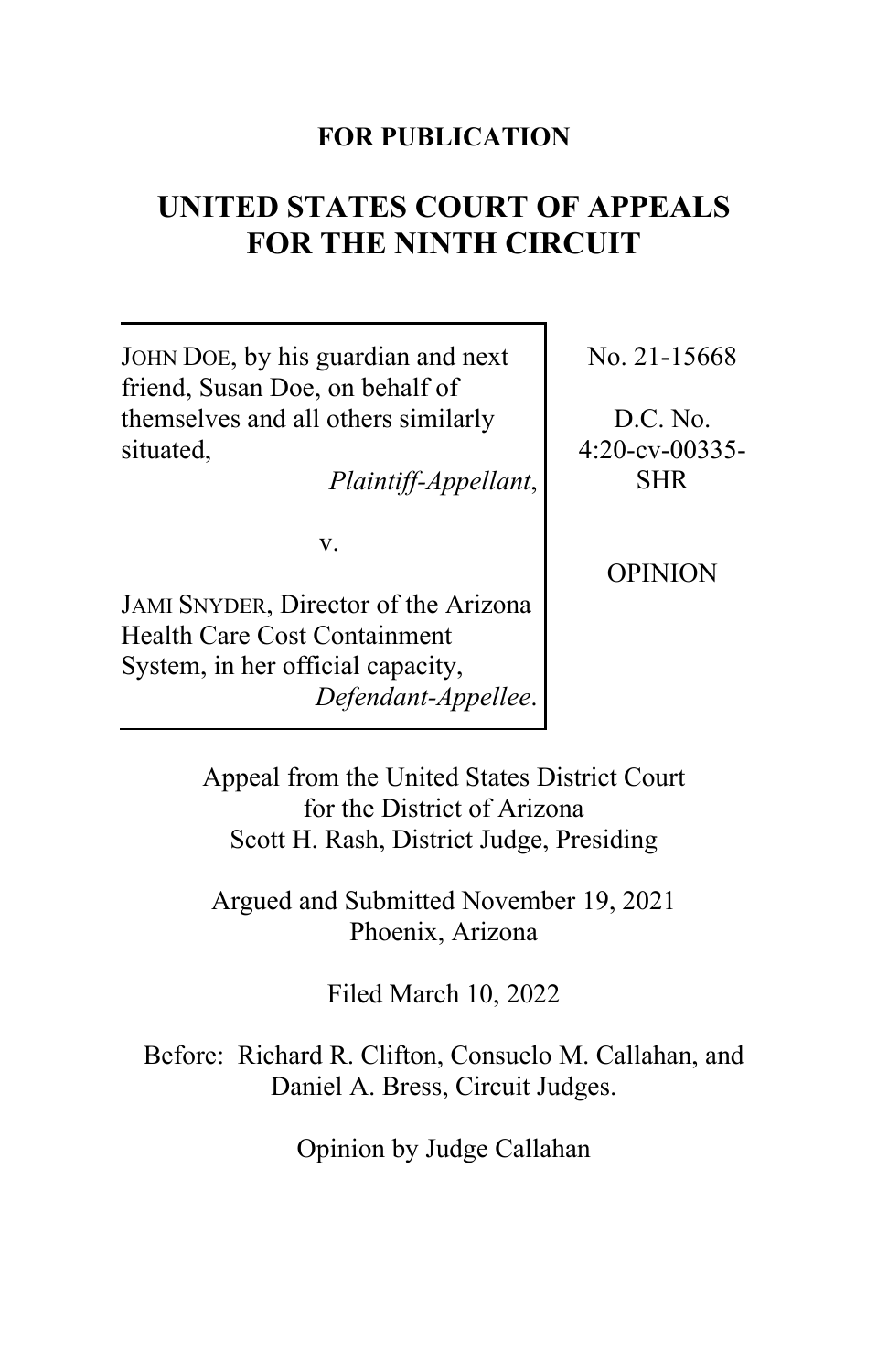## **FOR PUBLICATION**

# **UNITED STATES COURT OF APPEALS FOR THE NINTH CIRCUIT**

JOHN DOE, by his guardian and next friend, Susan Doe, on behalf of themselves and all others similarly situated,

*Plaintiff-Appellant*,

v.

JAMI SNYDER, Director of the Arizona Health Care Cost Containment System, in her official capacity, *Defendant-Appellee*. No. 21-15668

D.C. No. 4:20-cv-00335- SHR

**OPINION** 

Appeal from the United States District Court for the District of Arizona Scott H. Rash, District Judge, Presiding

Argued and Submitted November 19, 2021 Phoenix, Arizona

Filed March 10, 2022

Before: Richard R. Clifton, Consuelo M. Callahan, and Daniel A. Bress, Circuit Judges.

Opinion by Judge Callahan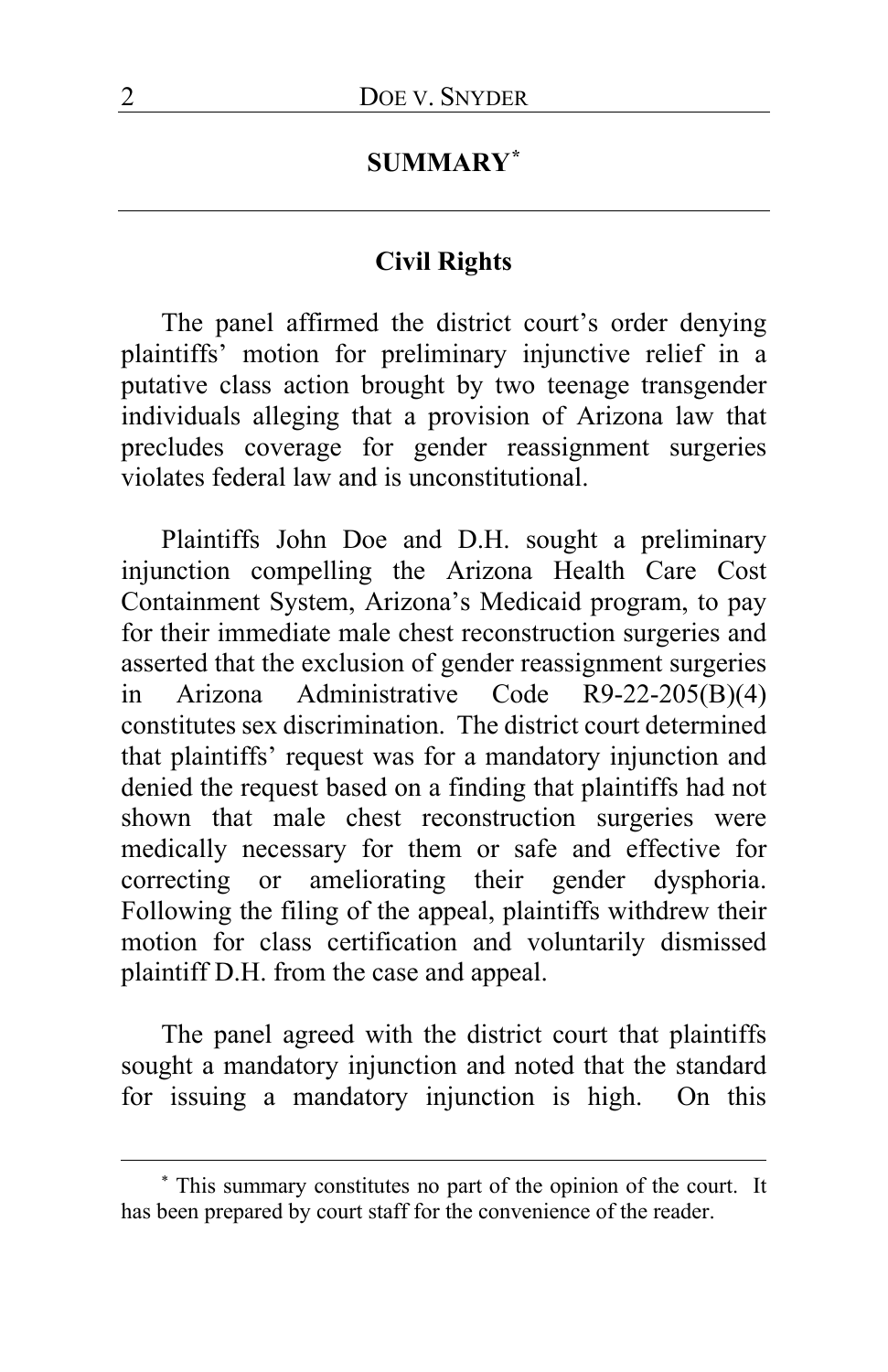## **SUMMARY[\\*](#page-1-0)**

#### **Civil Rights**

The panel affirmed the district court's order denying plaintiffs' motion for preliminary injunctive relief in a putative class action brought by two teenage transgender individuals alleging that a provision of Arizona law that precludes coverage for gender reassignment surgeries violates federal law and is unconstitutional.

Plaintiffs John Doe and D.H. sought a preliminary injunction compelling the Arizona Health Care Cost Containment System, Arizona's Medicaid program, to pay for their immediate male chest reconstruction surgeries and asserted that the exclusion of gender reassignment surgeries in Arizona Administrative Code R9-22-205(B)(4) constitutes sex discrimination. The district court determined that plaintiffs' request was for a mandatory injunction and denied the request based on a finding that plaintiffs had not shown that male chest reconstruction surgeries were medically necessary for them or safe and effective for correcting or ameliorating their gender dysphoria. Following the filing of the appeal, plaintiffs withdrew their motion for class certification and voluntarily dismissed plaintiff D.H. from the case and appeal.

The panel agreed with the district court that plaintiffs sought a mandatory injunction and noted that the standard for issuing a mandatory injunction is high. On this

<span id="page-1-0"></span><sup>\*</sup> This summary constitutes no part of the opinion of the court. It has been prepared by court staff for the convenience of the reader.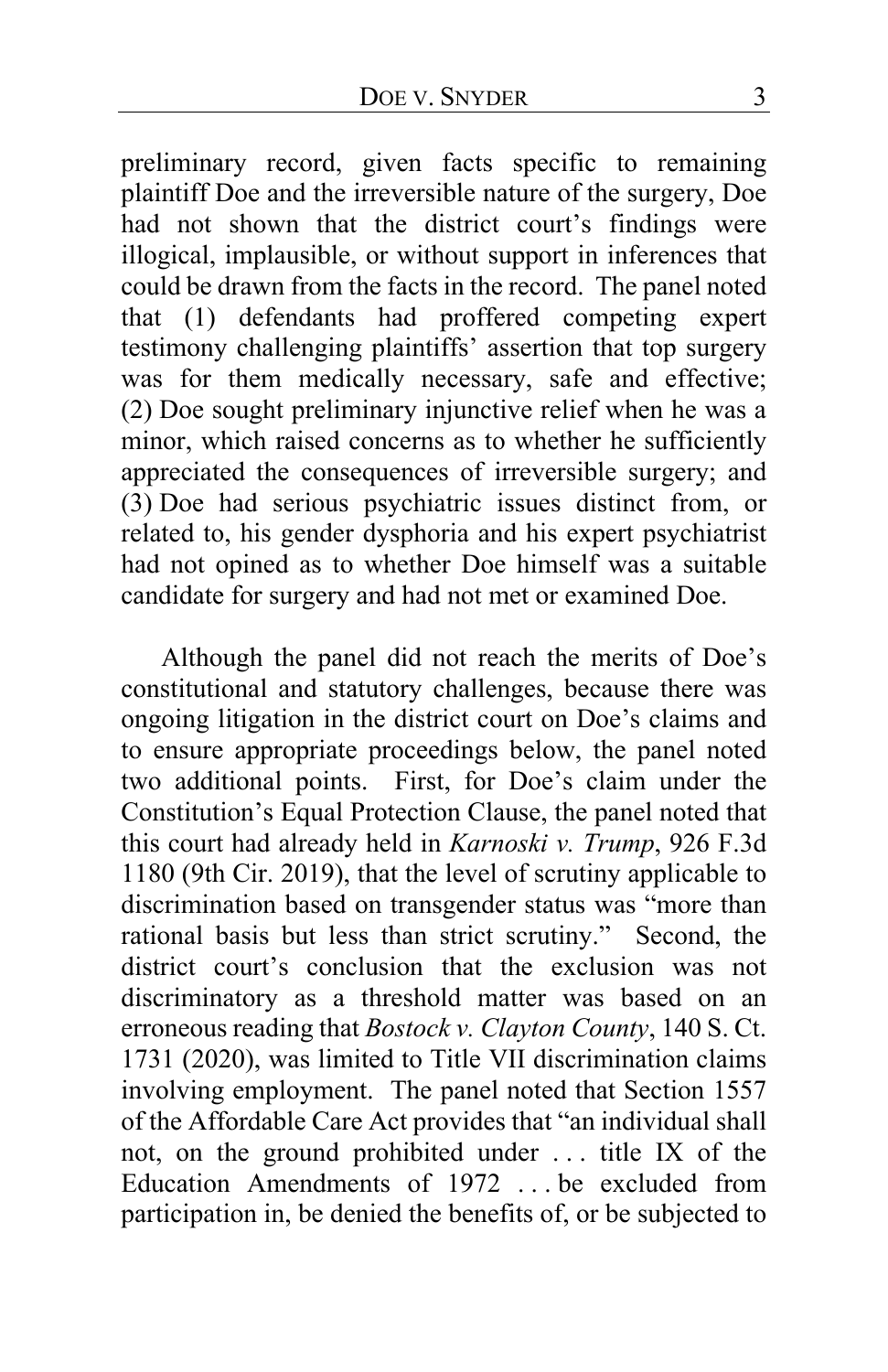preliminary record, given facts specific to remaining plaintiff Doe and the irreversible nature of the surgery, Doe had not shown that the district court's findings were illogical, implausible, or without support in inferences that could be drawn from the facts in the record. The panel noted that (1) defendants had proffered competing expert testimony challenging plaintiffs' assertion that top surgery was for them medically necessary, safe and effective; (2) Doe sought preliminary injunctive relief when he was a minor, which raised concerns as to whether he sufficiently appreciated the consequences of irreversible surgery; and (3) Doe had serious psychiatric issues distinct from, or related to, his gender dysphoria and his expert psychiatrist had not opined as to whether Doe himself was a suitable candidate for surgery and had not met or examined Doe.

Although the panel did not reach the merits of Doe's constitutional and statutory challenges, because there was ongoing litigation in the district court on Doe's claims and to ensure appropriate proceedings below, the panel noted two additional points. First, for Doe's claim under the Constitution's Equal Protection Clause, the panel noted that this court had already held in *Karnoski v. Trump*, 926 F.3d 1180 (9th Cir. 2019), that the level of scrutiny applicable to discrimination based on transgender status was "more than rational basis but less than strict scrutiny." Second, the district court's conclusion that the exclusion was not discriminatory as a threshold matter was based on an erroneous reading that *Bostock v. Clayton County*, 140 S. Ct. 1731 (2020), was limited to Title VII discrimination claims involving employment. The panel noted that Section 1557 of the Affordable Care Act provides that "an individual shall not, on the ground prohibited under . . . title IX of the Education Amendments of 1972 . . . be excluded from participation in, be denied the benefits of, or be subjected to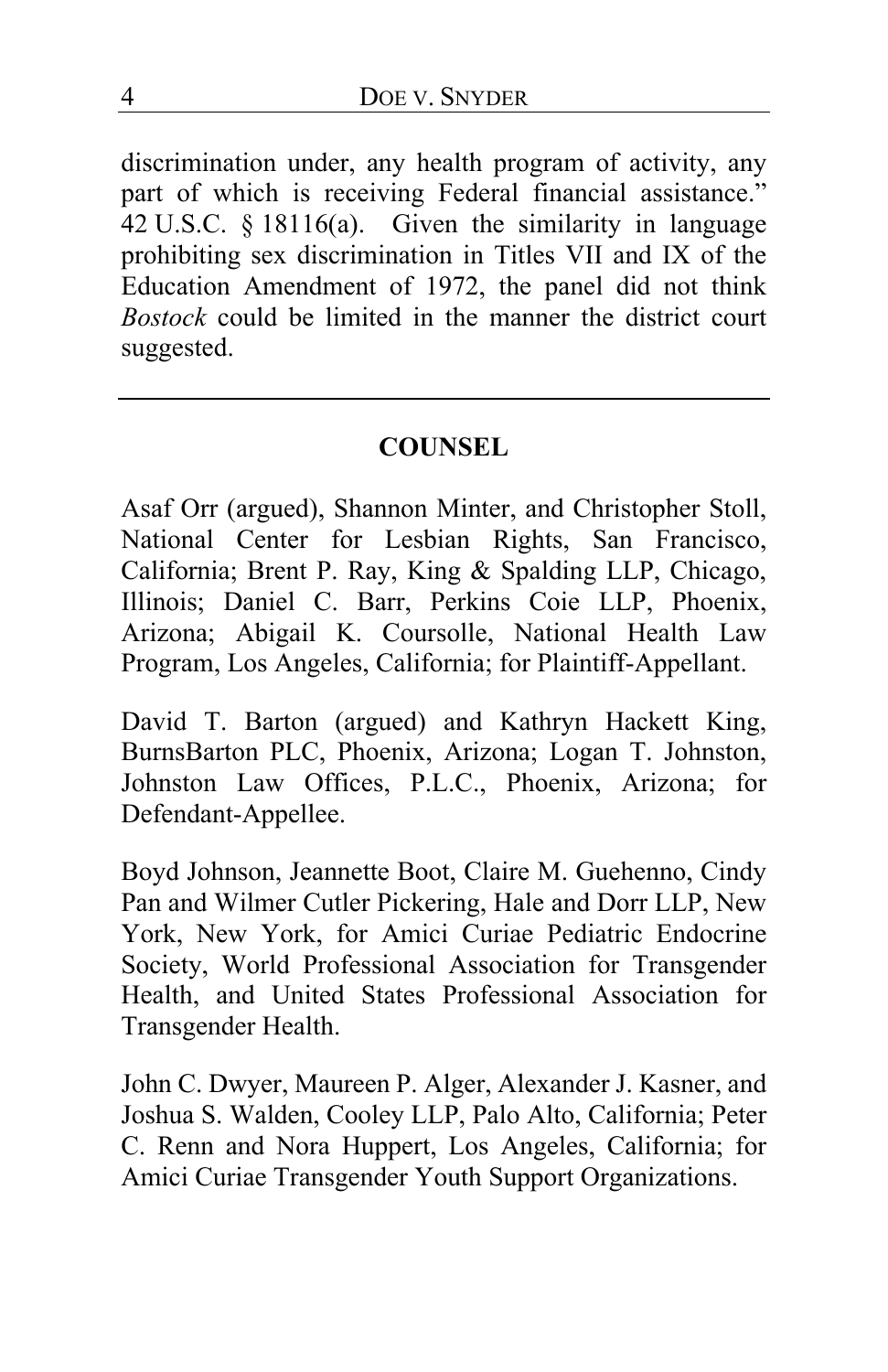discrimination under, any health program of activity, any part of which is receiving Federal financial assistance." 42 U.S.C. § 18116(a). Given the similarity in language prohibiting sex discrimination in Titles VII and IX of the Education Amendment of 1972, the panel did not think *Bostock* could be limited in the manner the district court suggested.

#### **COUNSEL**

Asaf Orr (argued), Shannon Minter, and Christopher Stoll, National Center for Lesbian Rights, San Francisco, California; Brent P. Ray, King & Spalding LLP, Chicago, Illinois; Daniel C. Barr, Perkins Coie LLP, Phoenix, Arizona; Abigail K. Coursolle, National Health Law Program, Los Angeles, California; for Plaintiff-Appellant.

David T. Barton (argued) and Kathryn Hackett King, BurnsBarton PLC, Phoenix, Arizona; Logan T. Johnston, Johnston Law Offices, P.L.C., Phoenix, Arizona; for Defendant-Appellee.

Boyd Johnson, Jeannette Boot, Claire M. Guehenno, Cindy Pan and Wilmer Cutler Pickering, Hale and Dorr LLP, New York, New York, for Amici Curiae Pediatric Endocrine Society, World Professional Association for Transgender Health, and United States Professional Association for Transgender Health.

John C. Dwyer, Maureen P. Alger, Alexander J. Kasner, and Joshua S. Walden, Cooley LLP, Palo Alto, California; Peter C. Renn and Nora Huppert, Los Angeles, California; for Amici Curiae Transgender Youth Support Organizations.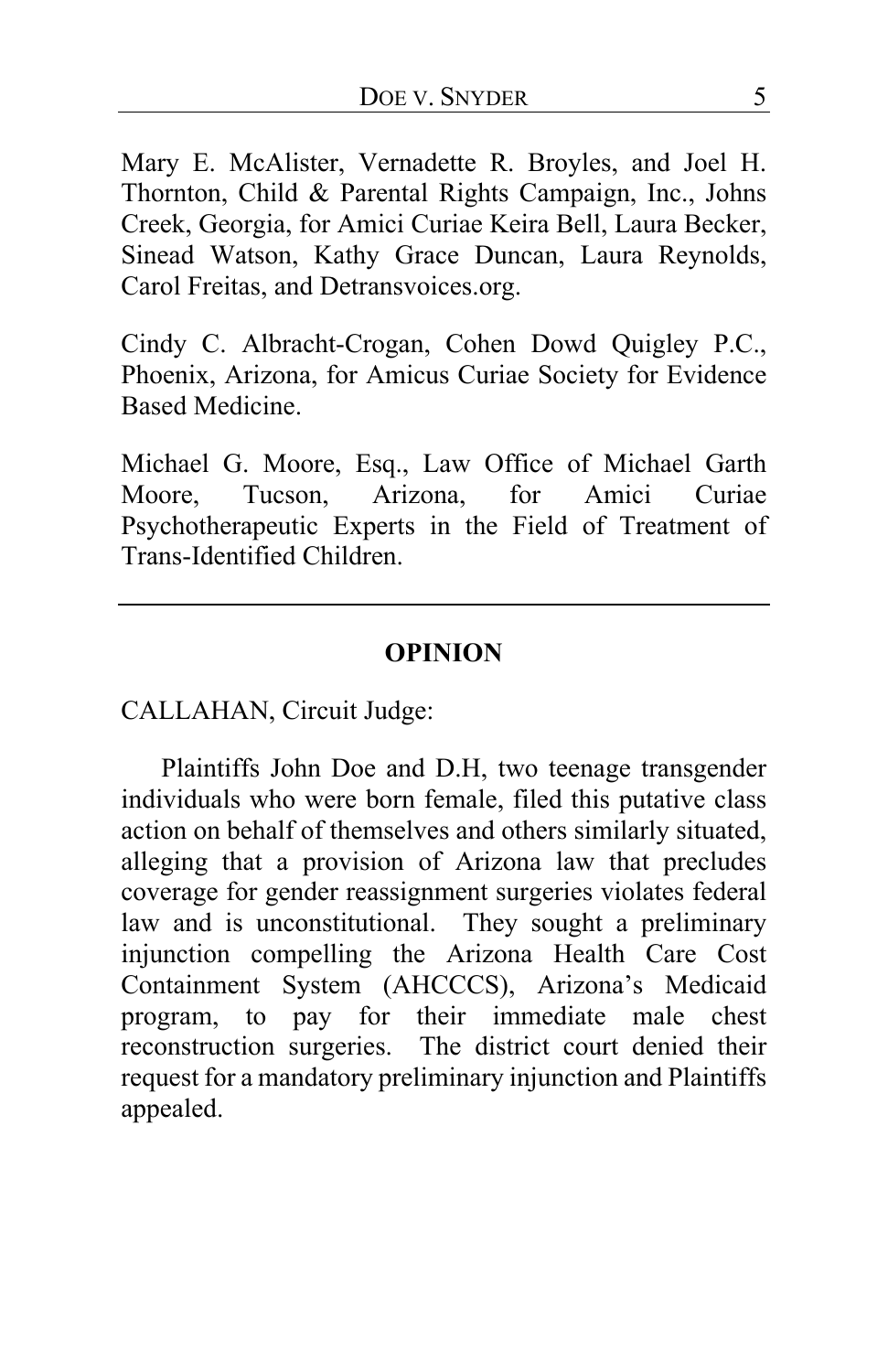Mary E. McAlister, Vernadette R. Broyles, and Joel H. Thornton, Child & Parental Rights Campaign, Inc., Johns Creek, Georgia, for Amici Curiae Keira Bell, Laura Becker, Sinead Watson, Kathy Grace Duncan, Laura Reynolds, Carol Freitas, and Detransvoices.org.

Cindy C. Albracht-Crogan, Cohen Dowd Quigley P.C., Phoenix, Arizona, for Amicus Curiae Society for Evidence Based Medicine.

Michael G. Moore, Esq., Law Office of Michael Garth Moore, Tucson, Arizona, for Amici Curiae Psychotherapeutic Experts in the Field of Treatment of Trans-Identified Children.

#### **OPINION**

CALLAHAN, Circuit Judge:

Plaintiffs John Doe and D.H, two teenage transgender individuals who were born female, filed this putative class action on behalf of themselves and others similarly situated, alleging that a provision of Arizona law that precludes coverage for gender reassignment surgeries violates federal law and is unconstitutional. They sought a preliminary injunction compelling the Arizona Health Care Cost Containment System (AHCCCS), Arizona's Medicaid program, to pay for their immediate male chest reconstruction surgeries. The district court denied their request for a mandatory preliminary injunction and Plaintiffs appealed.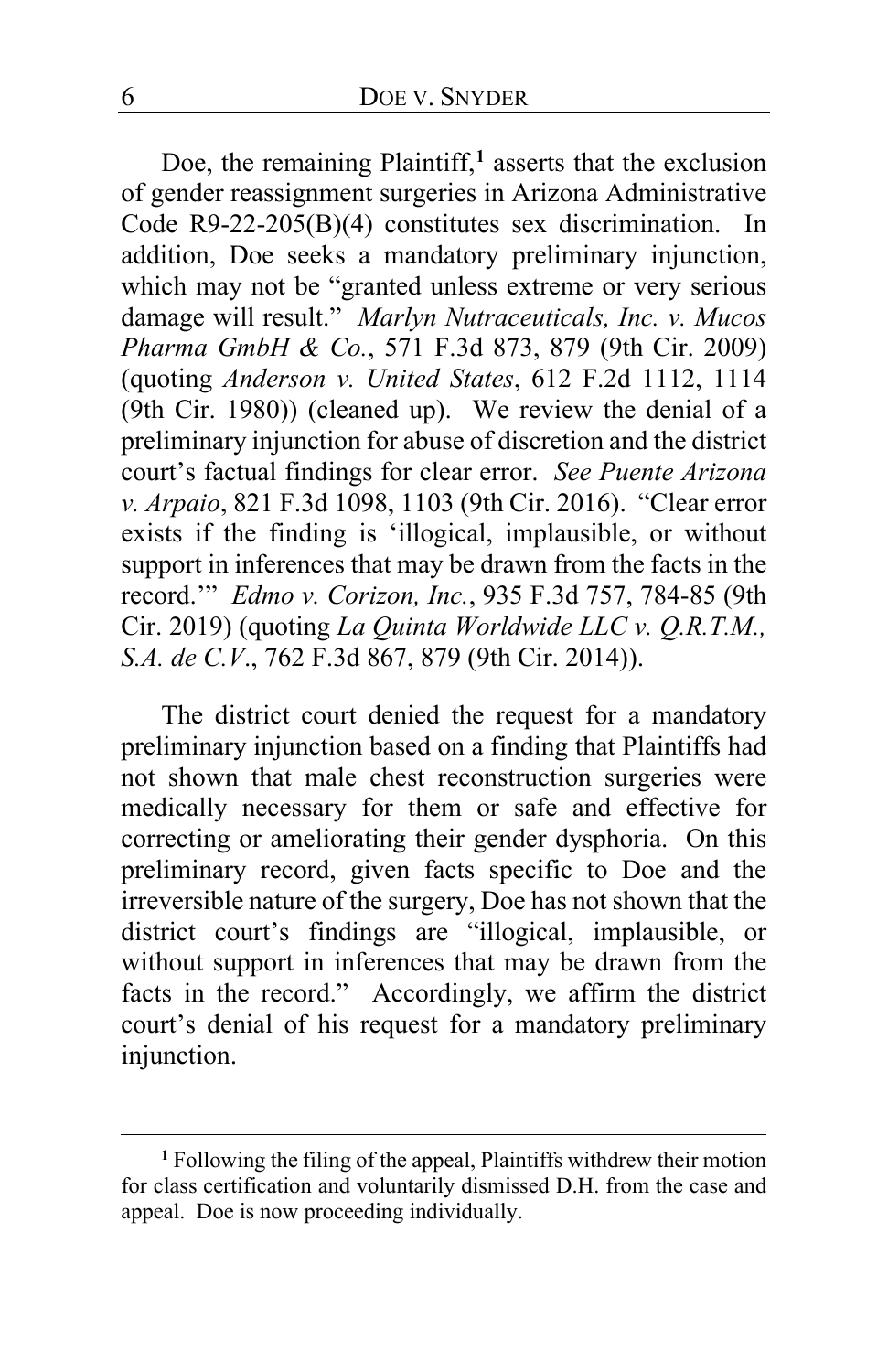Doe, the remaining Plaintiff,**[1](#page-5-0)** asserts that the exclusion of gender reassignment surgeries in Arizona Administrative Code R9-22-205(B)(4) constitutes sex discrimination. In addition, Doe seeks a mandatory preliminary injunction, which may not be "granted unless extreme or very serious damage will result." *Marlyn Nutraceuticals, Inc. v. Mucos Pharma GmbH & Co.*, 571 F.3d 873, 879 (9th Cir. 2009) (quoting *Anderson v. United States*, 612 F.2d 1112, 1114 (9th Cir. 1980)) (cleaned up). We review the denial of a preliminary injunction for abuse of discretion and the district court's factual findings for clear error. *See Puente Arizona v. Arpaio*, 821 F.3d 1098, 1103 (9th Cir. 2016). "Clear error exists if the finding is 'illogical, implausible, or without support in inferences that may be drawn from the facts in the record.'" *Edmo v. Corizon, Inc.*, 935 F.3d 757, 784-85 (9th Cir. 2019) (quoting *La Quinta Worldwide LLC v. Q.R.T.M., S.A. de C.V*., 762 F.3d 867, 879 (9th Cir. 2014)).

The district court denied the request for a mandatory preliminary injunction based on a finding that Plaintiffs had not shown that male chest reconstruction surgeries were medically necessary for them or safe and effective for correcting or ameliorating their gender dysphoria. On this preliminary record, given facts specific to Doe and the irreversible nature of the surgery, Doe has not shown that the district court's findings are "illogical, implausible, or without support in inferences that may be drawn from the facts in the record." Accordingly, we affirm the district court's denial of his request for a mandatory preliminary injunction.

<span id="page-5-0"></span>**<sup>1</sup>** Following the filing of the appeal, Plaintiffs withdrew their motion for class certification and voluntarily dismissed D.H. from the case and appeal. Doe is now proceeding individually.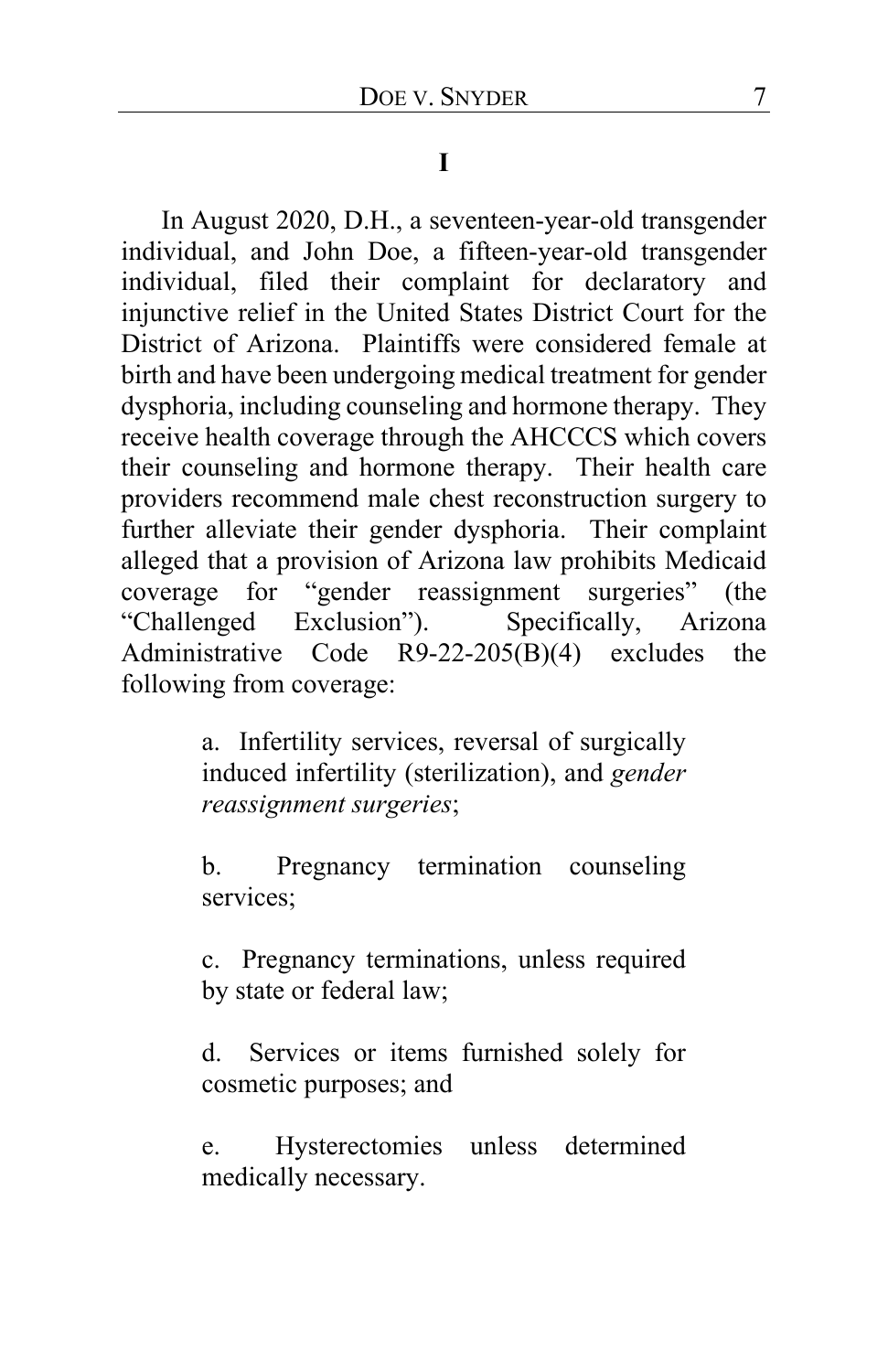### **I**

In August 2020, D.H., a seventeen-year-old transgender individual, and John Doe, a fifteen-year-old transgender individual, filed their complaint for declaratory and injunctive relief in the United States District Court for the District of Arizona. Plaintiffs were considered female at birth and have been undergoing medical treatment for gender dysphoria, including counseling and hormone therapy. They receive health coverage through the AHCCCS which covers their counseling and hormone therapy. Their health care providers recommend male chest reconstruction surgery to further alleviate their gender dysphoria. Their complaint alleged that a provision of Arizona law prohibits Medicaid coverage for "gender reassignment surgeries" (the<br>"Challenged Exclusion"). Specifically, Arizona "Challenged Exclusion"). Administrative Code R9-22-205(B)(4) excludes the following from coverage:

> a. Infertility services, reversal of surgically induced infertility (sterilization), and *gender reassignment surgeries*;

> b. Pregnancy termination counseling services;

> c. Pregnancy terminations, unless required by state or federal law;

> d. Services or items furnished solely for cosmetic purposes; and

> e. Hysterectomies unless determined medically necessary.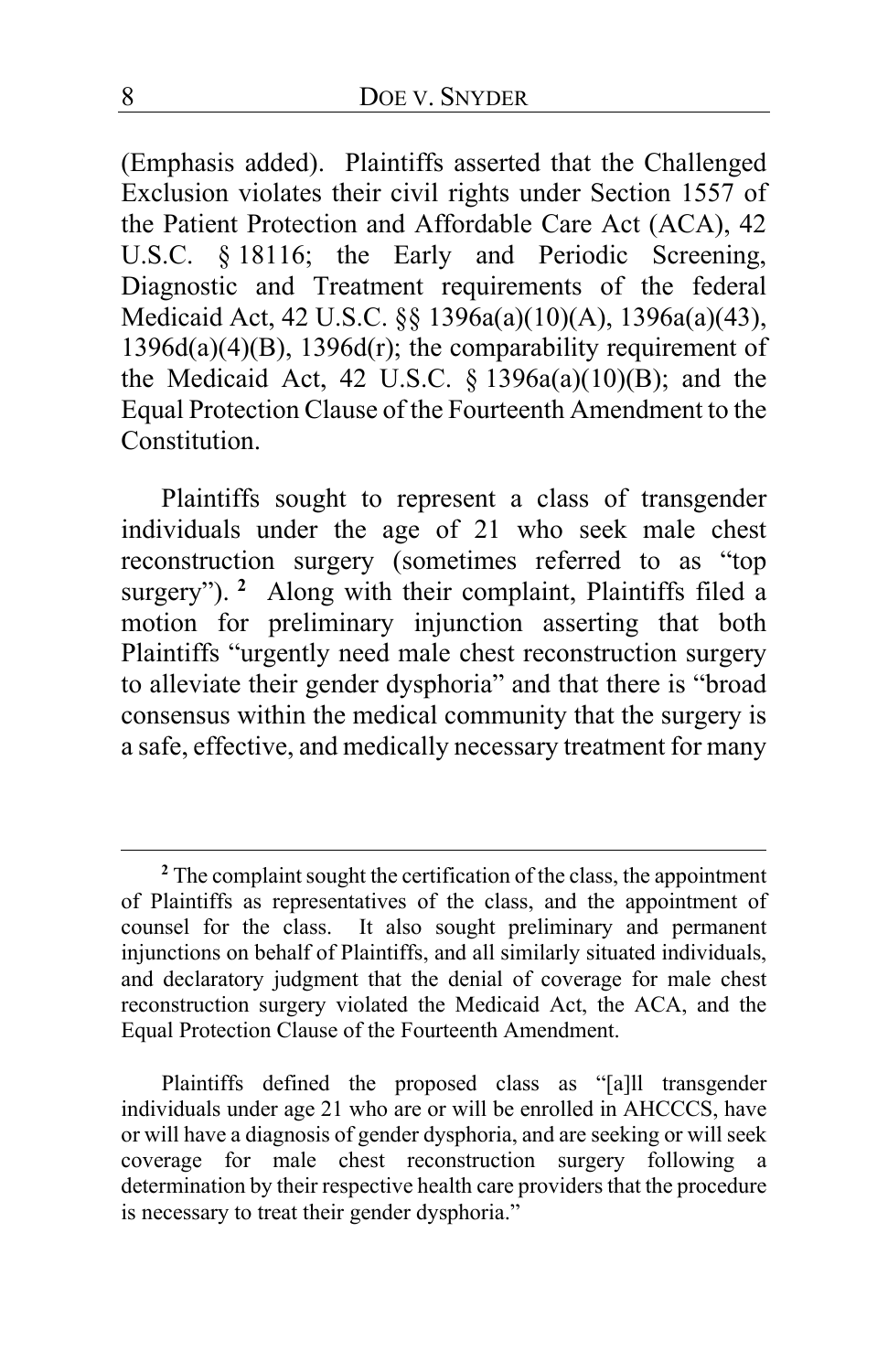(Emphasis added). Plaintiffs asserted that the Challenged Exclusion violates their civil rights under Section 1557 of the Patient Protection and Affordable Care Act (ACA), 42 U.S.C. § 18116; the Early and Periodic Screening, Diagnostic and Treatment requirements of the federal Medicaid Act, 42 U.S.C. §§ 1396a(a)(10)(A), 1396a(a)(43), 1396d(a)(4)(B), 1396d(r); the comparability requirement of the Medicaid Act,  $42 \text{ U.S.C. }$  §  $1396a(a)(10)(B)$ ; and the Equal Protection Clause of the Fourteenth Amendment to the **Constitution** 

Plaintiffs sought to represent a class of transgender individuals under the age of 21 who seek male chest reconstruction surgery (sometimes referred to as "top surgery"). <sup>[2](#page-7-0)</sup> Along with their complaint, Plaintiffs filed a motion for preliminary injunction asserting that both Plaintiffs "urgently need male chest reconstruction surgery to alleviate their gender dysphoria" and that there is "broad consensus within the medical community that the surgery is a safe, effective, and medically necessary treatment for many

Plaintiffs defined the proposed class as "[a]ll transgender individuals under age 21 who are or will be enrolled in AHCCCS, have or will have a diagnosis of gender dysphoria, and are seeking or will seek coverage for male chest reconstruction surgery following a determination by their respective health care providers that the procedure is necessary to treat their gender dysphoria."

<span id="page-7-0"></span>**<sup>2</sup>** The complaint sought the certification of the class, the appointment of Plaintiffs as representatives of the class, and the appointment of counsel for the class. It also sought preliminary and permanent injunctions on behalf of Plaintiffs, and all similarly situated individuals, and declaratory judgment that the denial of coverage for male chest reconstruction surgery violated the Medicaid Act, the ACA, and the Equal Protection Clause of the Fourteenth Amendment.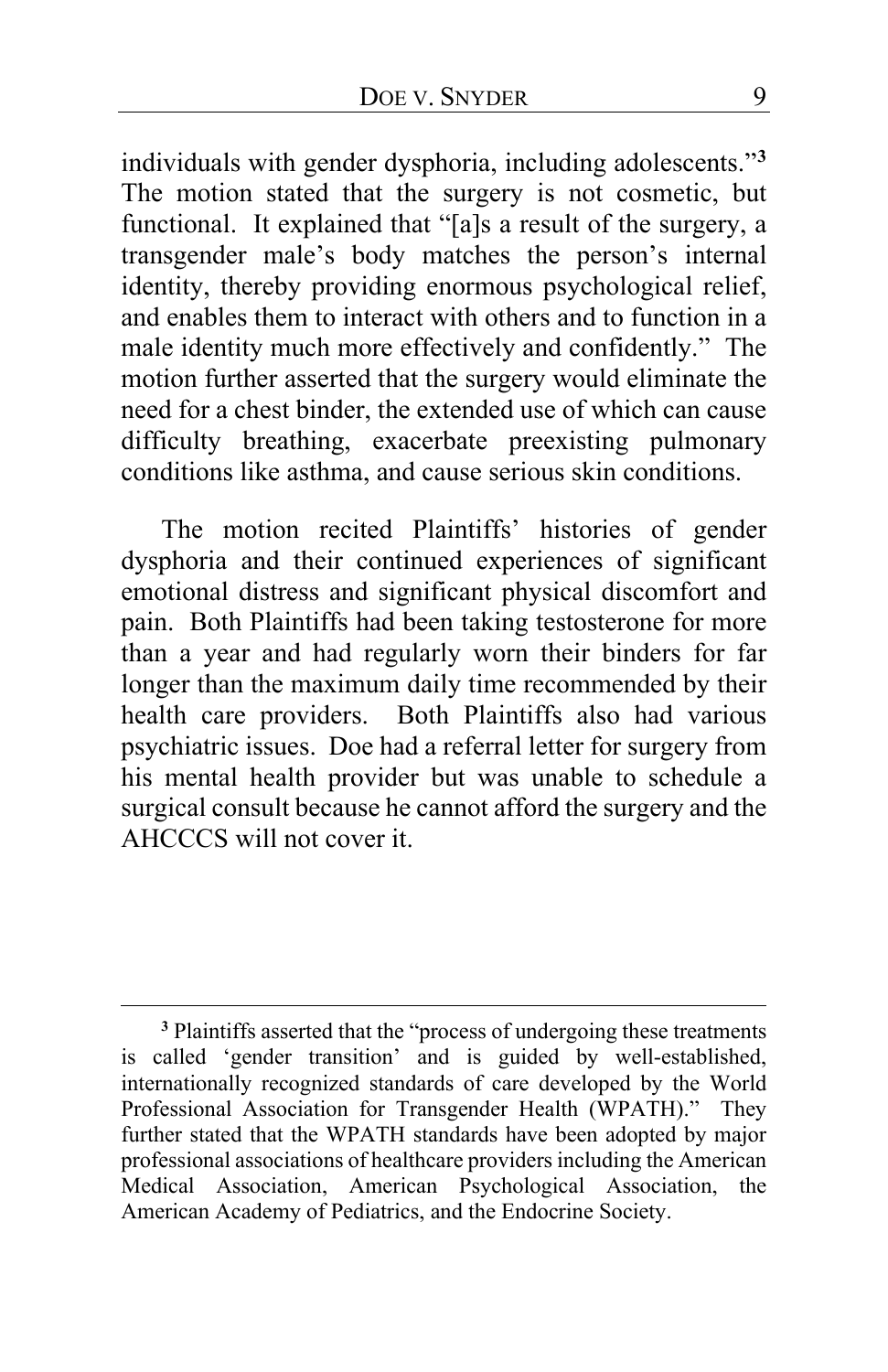individuals with gender dysphoria, including adolescents."**[3](#page-8-0)** The motion stated that the surgery is not cosmetic, but functional. It explained that "[a]s a result of the surgery, a transgender male's body matches the person's internal identity, thereby providing enormous psychological relief, and enables them to interact with others and to function in a male identity much more effectively and confidently." The motion further asserted that the surgery would eliminate the need for a chest binder, the extended use of which can cause difficulty breathing, exacerbate preexisting pulmonary conditions like asthma, and cause serious skin conditions.

The motion recited Plaintiffs' histories of gender dysphoria and their continued experiences of significant emotional distress and significant physical discomfort and pain. Both Plaintiffs had been taking testosterone for more than a year and had regularly worn their binders for far longer than the maximum daily time recommended by their health care providers. Both Plaintiffs also had various psychiatric issues. Doe had a referral letter for surgery from his mental health provider but was unable to schedule a surgical consult because he cannot afford the surgery and the AHCCCS will not cover it.

<span id="page-8-0"></span>**<sup>3</sup>** Plaintiffs asserted that the "process of undergoing these treatments is called 'gender transition' and is guided by well-established, internationally recognized standards of care developed by the World Professional Association for Transgender Health (WPATH)." They further stated that the WPATH standards have been adopted by major professional associations of healthcare providers including the American Medical Association, American Psychological Association, the American Academy of Pediatrics, and the Endocrine Society.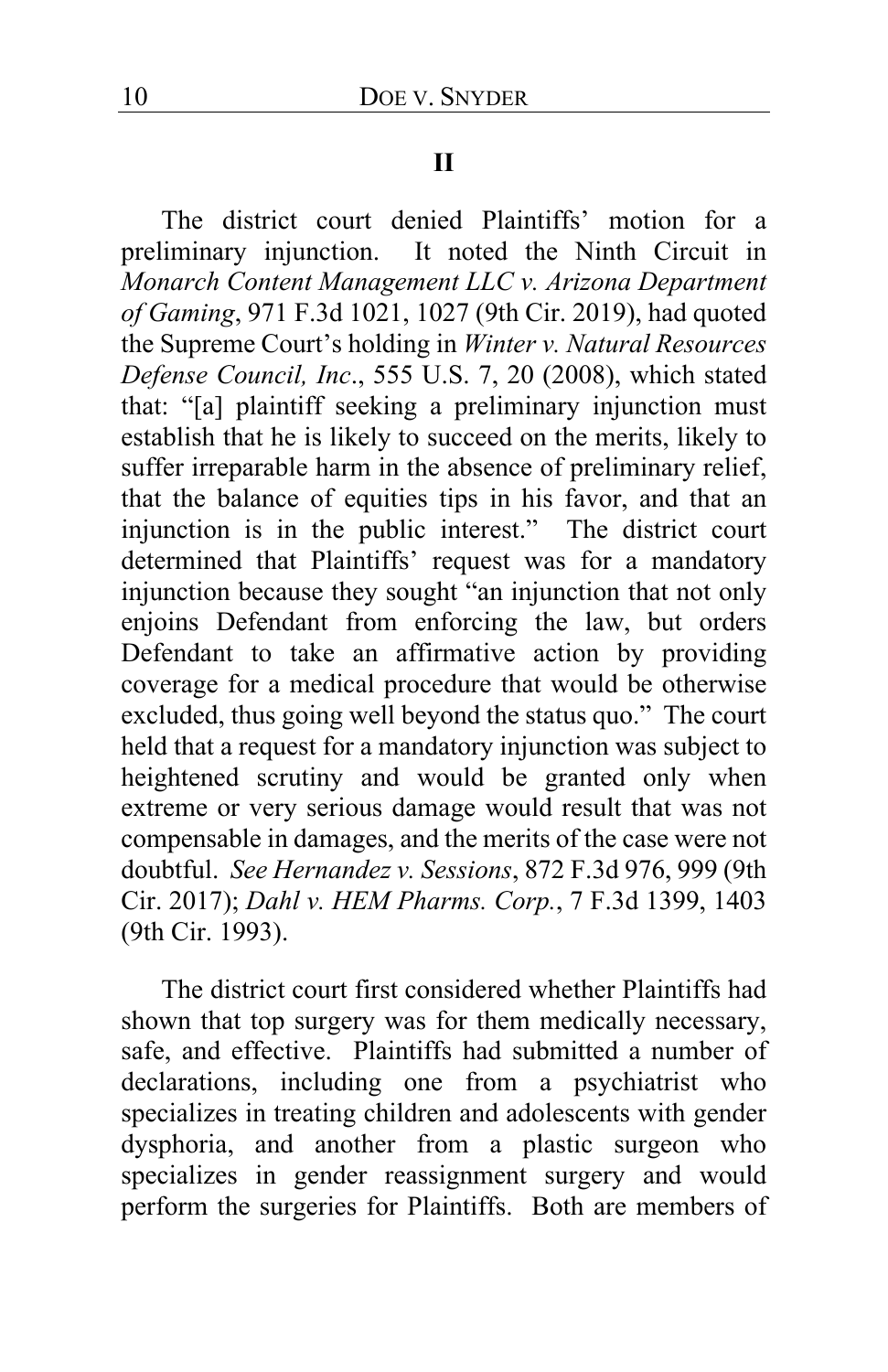#### **II**

The district court denied Plaintiffs' motion for a preliminary injunction. It noted the Ninth Circuit in *Monarch Content Management LLC v. Arizona Department of Gaming*, 971 F.3d 1021, 1027 (9th Cir. 2019), had quoted the Supreme Court's holding in *Winter v. Natural Resources Defense Council, Inc*., 555 U.S. 7, 20 (2008), which stated that: "[a] plaintiff seeking a preliminary injunction must establish that he is likely to succeed on the merits, likely to suffer irreparable harm in the absence of preliminary relief, that the balance of equities tips in his favor, and that an injunction is in the public interest." The district court determined that Plaintiffs' request was for a mandatory injunction because they sought "an injunction that not only enjoins Defendant from enforcing the law, but orders Defendant to take an affirmative action by providing coverage for a medical procedure that would be otherwise excluded, thus going well beyond the status quo." The court held that a request for a mandatory injunction was subject to heightened scrutiny and would be granted only when extreme or very serious damage would result that was not compensable in damages, and the merits of the case were not doubtful. *See Hernandez v. Sessions*, 872 F.3d 976, 999 (9th Cir. 2017); *Dahl v. HEM Pharms. Corp.*, 7 F.3d 1399, 1403 (9th Cir. 1993).

The district court first considered whether Plaintiffs had shown that top surgery was for them medically necessary, safe, and effective. Plaintiffs had submitted a number of declarations, including one from a psychiatrist who specializes in treating children and adolescents with gender dysphoria, and another from a plastic surgeon who specializes in gender reassignment surgery and would perform the surgeries for Plaintiffs. Both are members of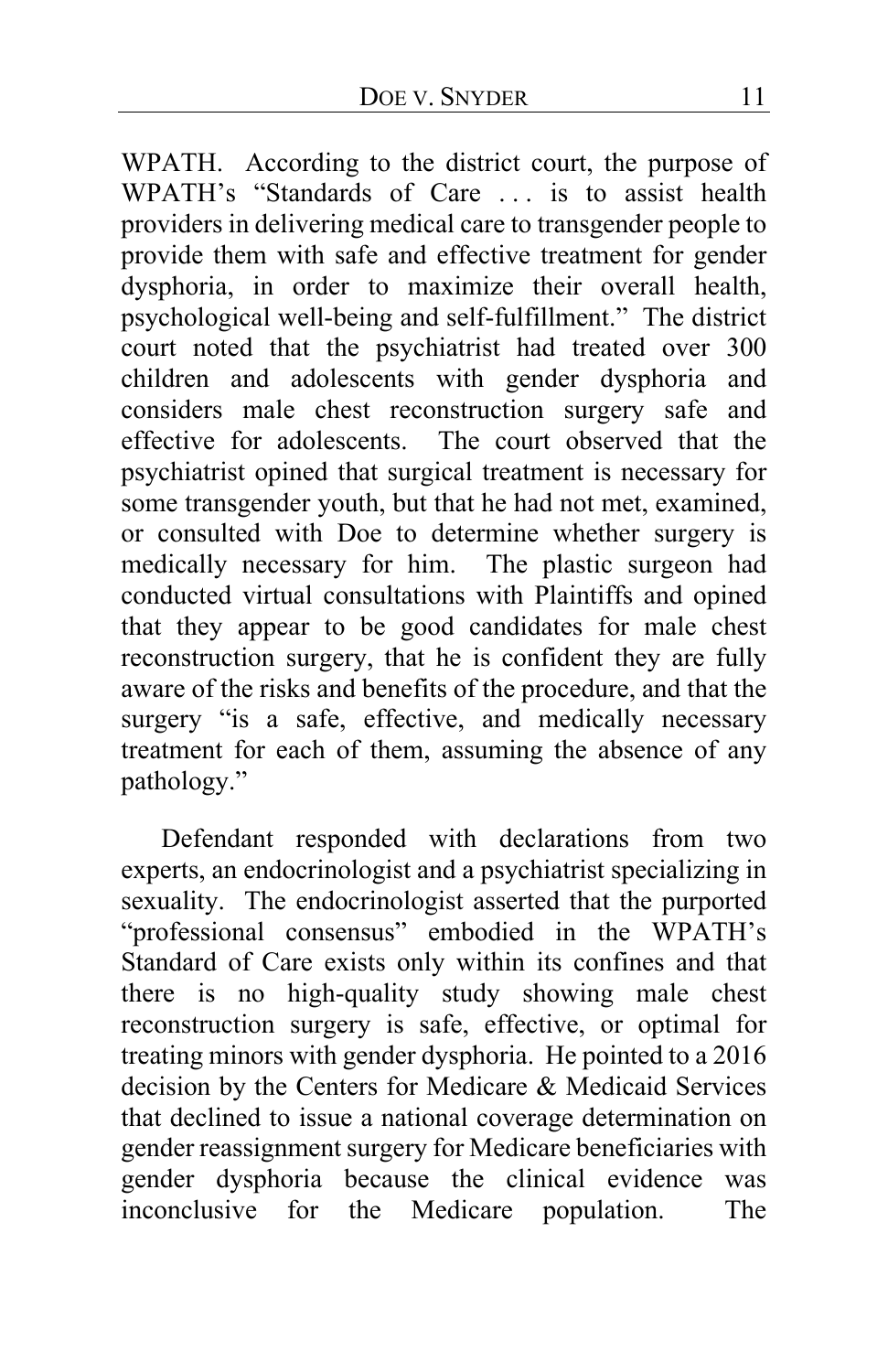WPATH. According to the district court, the purpose of WPATH's "Standards of Care . . . is to assist health providers in delivering medical care to transgender people to provide them with safe and effective treatment for gender dysphoria, in order to maximize their overall health, psychological well-being and self-fulfillment." The district court noted that the psychiatrist had treated over 300 children and adolescents with gender dysphoria and considers male chest reconstruction surgery safe and effective for adolescents. The court observed that the psychiatrist opined that surgical treatment is necessary for some transgender youth, but that he had not met, examined, or consulted with Doe to determine whether surgery is medically necessary for him. The plastic surgeon had conducted virtual consultations with Plaintiffs and opined that they appear to be good candidates for male chest reconstruction surgery, that he is confident they are fully aware of the risks and benefits of the procedure, and that the surgery "is a safe, effective, and medically necessary treatment for each of them, assuming the absence of any pathology."

Defendant responded with declarations from two experts, an endocrinologist and a psychiatrist specializing in sexuality. The endocrinologist asserted that the purported "professional consensus" embodied in the WPATH's Standard of Care exists only within its confines and that there is no high-quality study showing male chest reconstruction surgery is safe, effective, or optimal for treating minors with gender dysphoria. He pointed to a 2016 decision by the Centers for Medicare & Medicaid Services that declined to issue a national coverage determination on gender reassignment surgery for Medicare beneficiaries with gender dysphoria because the clinical evidence was inconclusive for the Medicare population. The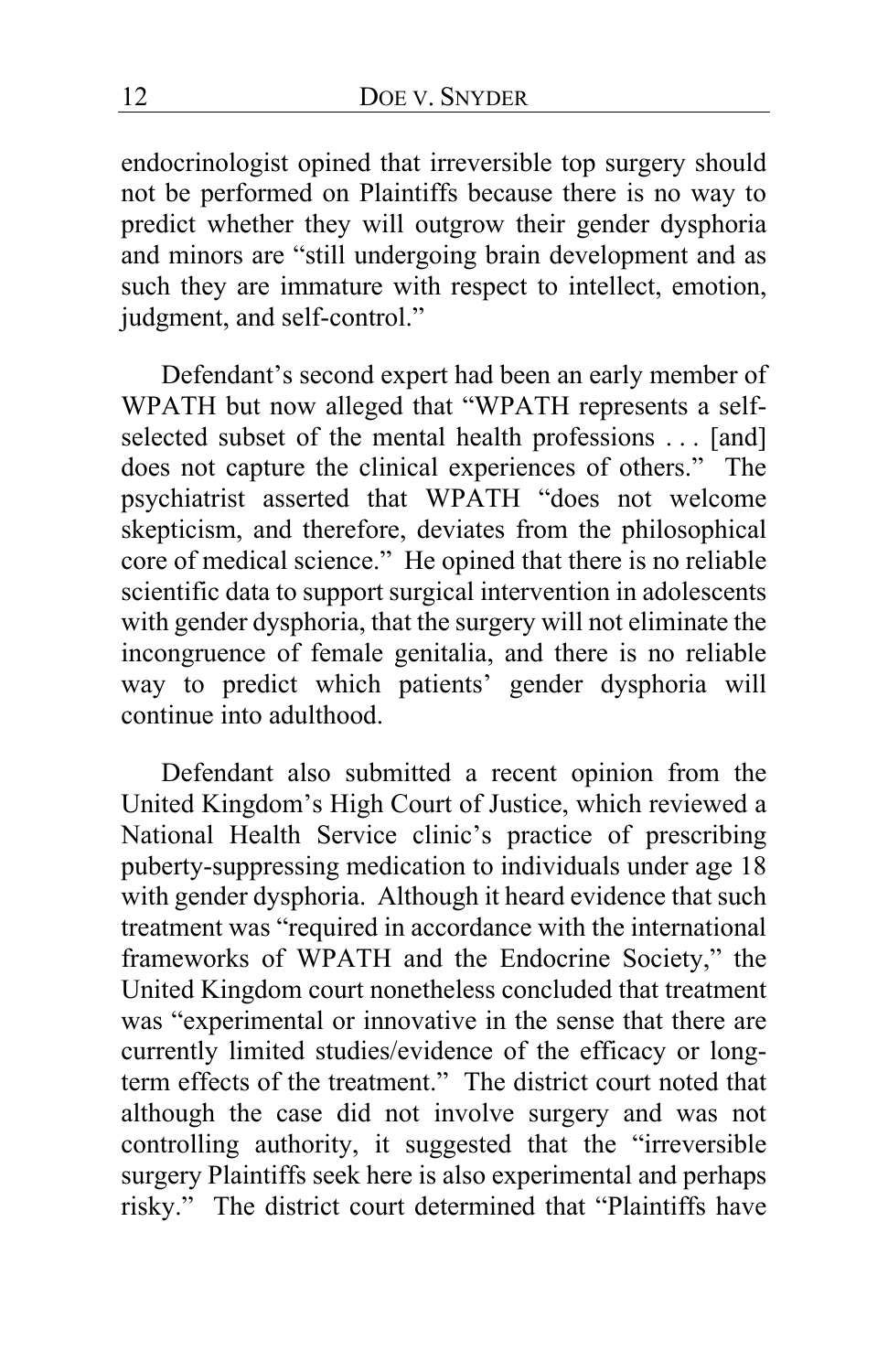endocrinologist opined that irreversible top surgery should not be performed on Plaintiffs because there is no way to predict whether they will outgrow their gender dysphoria and minors are "still undergoing brain development and as such they are immature with respect to intellect, emotion, judgment, and self-control."

Defendant's second expert had been an early member of WPATH but now alleged that "WPATH represents a selfselected subset of the mental health professions . . . [and] does not capture the clinical experiences of others." The psychiatrist asserted that WPATH "does not welcome skepticism, and therefore, deviates from the philosophical core of medical science." He opined that there is no reliable scientific data to support surgical intervention in adolescents with gender dysphoria, that the surgery will not eliminate the incongruence of female genitalia, and there is no reliable way to predict which patients' gender dysphoria will continue into adulthood.

Defendant also submitted a recent opinion from the United Kingdom's High Court of Justice, which reviewed a National Health Service clinic's practice of prescribing puberty-suppressing medication to individuals under age 18 with gender dysphoria. Although it heard evidence that such treatment was "required in accordance with the international frameworks of WPATH and the Endocrine Society," the United Kingdom court nonetheless concluded that treatment was "experimental or innovative in the sense that there are currently limited studies/evidence of the efficacy or longterm effects of the treatment." The district court noted that although the case did not involve surgery and was not controlling authority, it suggested that the "irreversible surgery Plaintiffs seek here is also experimental and perhaps risky." The district court determined that "Plaintiffs have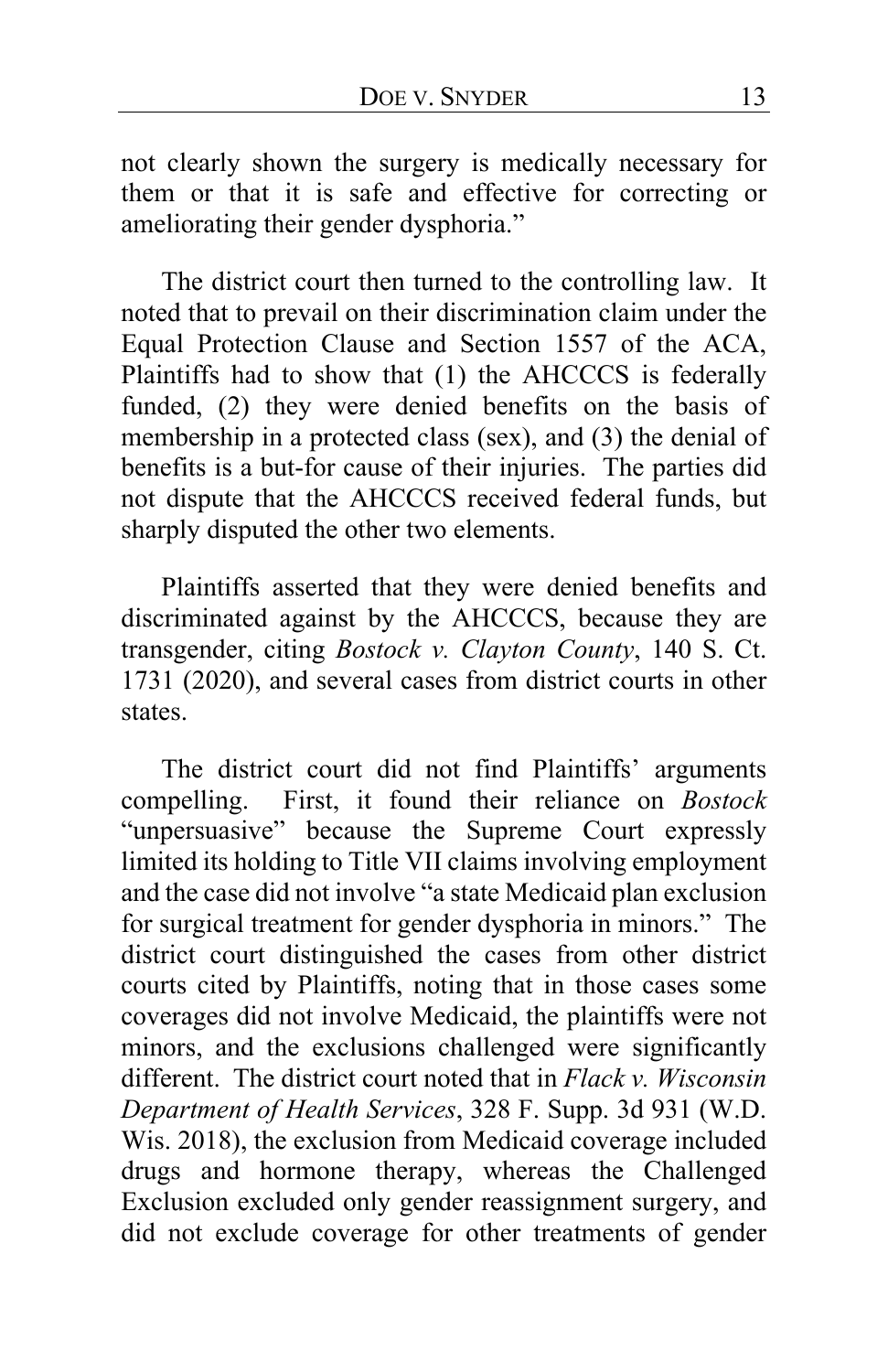not clearly shown the surgery is medically necessary for them or that it is safe and effective for correcting or ameliorating their gender dysphoria."

The district court then turned to the controlling law. It noted that to prevail on their discrimination claim under the Equal Protection Clause and Section 1557 of the ACA, Plaintiffs had to show that (1) the AHCCCS is federally funded, (2) they were denied benefits on the basis of membership in a protected class (sex), and (3) the denial of benefits is a but-for cause of their injuries. The parties did not dispute that the AHCCCS received federal funds, but sharply disputed the other two elements.

Plaintiffs asserted that they were denied benefits and discriminated against by the AHCCCS, because they are transgender, citing *Bostock v. Clayton County*, 140 S. Ct. 1731 (2020), and several cases from district courts in other states.

The district court did not find Plaintiffs' arguments compelling. First, it found their reliance on *Bostock*  "unpersuasive" because the Supreme Court expressly limited its holding to Title VII claims involving employment and the case did not involve "a state Medicaid plan exclusion for surgical treatment for gender dysphoria in minors." The district court distinguished the cases from other district courts cited by Plaintiffs, noting that in those cases some coverages did not involve Medicaid, the plaintiffs were not minors, and the exclusions challenged were significantly different. The district court noted that in *Flack v. Wisconsin Department of Health Services*, 328 F. Supp. 3d 931 (W.D. Wis. 2018), the exclusion from Medicaid coverage included drugs and hormone therapy, whereas the Challenged Exclusion excluded only gender reassignment surgery, and did not exclude coverage for other treatments of gender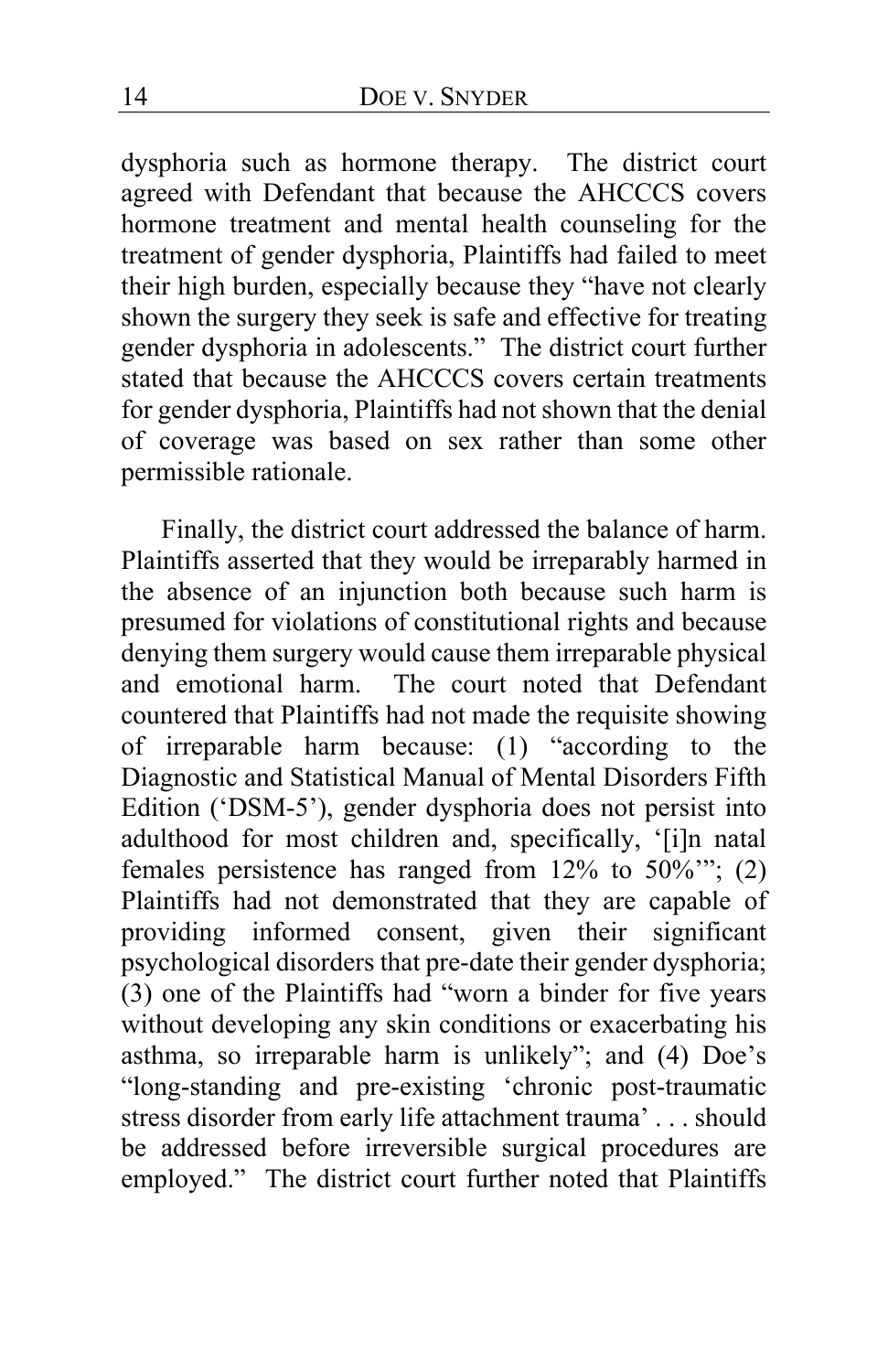dysphoria such as hormone therapy. The district court agreed with Defendant that because the AHCCCS covers hormone treatment and mental health counseling for the treatment of gender dysphoria, Plaintiffs had failed to meet their high burden, especially because they "have not clearly shown the surgery they seek is safe and effective for treating gender dysphoria in adolescents." The district court further stated that because the AHCCCS covers certain treatments for gender dysphoria, Plaintiffs had not shown that the denial of coverage was based on sex rather than some other permissible rationale.

Finally, the district court addressed the balance of harm. Plaintiffs asserted that they would be irreparably harmed in the absence of an injunction both because such harm is presumed for violations of constitutional rights and because denying them surgery would cause them irreparable physical<br>and emotional harm. The court noted that Defendant The court noted that Defendant countered that Plaintiffs had not made the requisite showing of irreparable harm because: (1) "according to the Diagnostic and Statistical Manual of Mental Disorders Fifth Edition ('DSM-5'), gender dysphoria does not persist into adulthood for most children and, specifically, '[i]n natal females persistence has ranged from 12% to 50%'"; (2) Plaintiffs had not demonstrated that they are capable of providing informed consent, given their significant psychological disorders that pre-date their gender dysphoria; (3) one of the Plaintiffs had "worn a binder for five years without developing any skin conditions or exacerbating his asthma, so irreparable harm is unlikely"; and (4) Doe's "long-standing and pre-existing 'chronic post-traumatic stress disorder from early life attachment trauma' . . . should be addressed before irreversible surgical procedures are employed." The district court further noted that Plaintiffs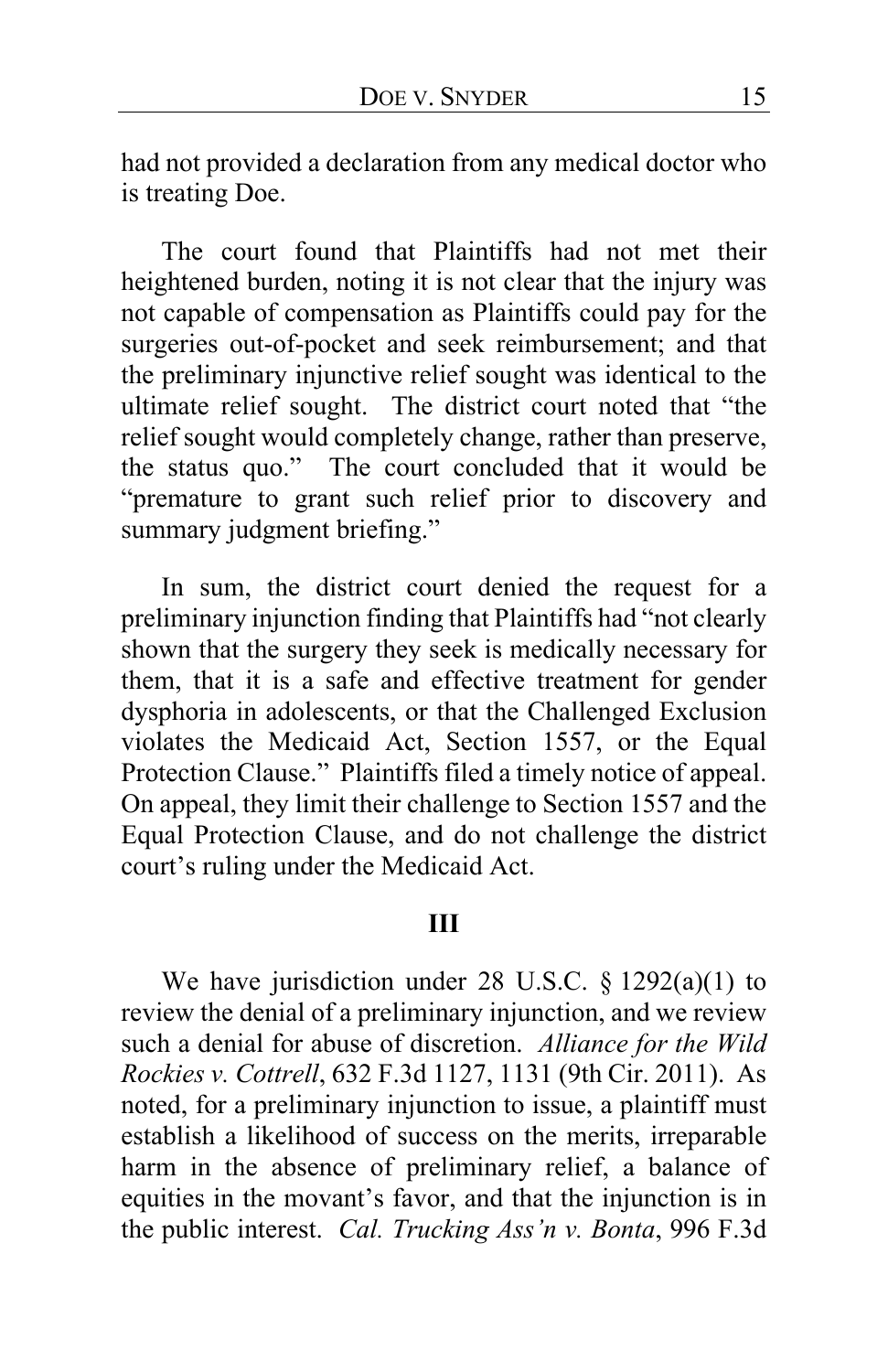had not provided a declaration from any medical doctor who is treating Doe.

The court found that Plaintiffs had not met their heightened burden, noting it is not clear that the injury was not capable of compensation as Plaintiffs could pay for the surgeries out-of-pocket and seek reimbursement; and that the preliminary injunctive relief sought was identical to the ultimate relief sought. The district court noted that "the relief sought would completely change, rather than preserve, the status quo." The court concluded that it would be "premature to grant such relief prior to discovery and summary judgment briefing."

In sum, the district court denied the request for a preliminary injunction finding that Plaintiffs had "not clearly shown that the surgery they seek is medically necessary for them, that it is a safe and effective treatment for gender dysphoria in adolescents, or that the Challenged Exclusion violates the Medicaid Act, Section 1557, or the Equal Protection Clause." Plaintiffs filed a timely notice of appeal. On appeal, they limit their challenge to Section 1557 and the Equal Protection Clause, and do not challenge the district court's ruling under the Medicaid Act.

#### **III**

We have jurisdiction under 28 U.S.C. § 1292(a)(1) to review the denial of a preliminary injunction, and we review such a denial for abuse of discretion. *Alliance for the Wild Rockies v. Cottrell*, 632 F.3d 1127, 1131 (9th Cir. 2011). As noted, for a preliminary injunction to issue, a plaintiff must establish a likelihood of success on the merits, irreparable harm in the absence of preliminary relief, a balance of equities in the movant's favor, and that the injunction is in the public interest. *Cal. Trucking Ass'n v. Bonta*, 996 F.3d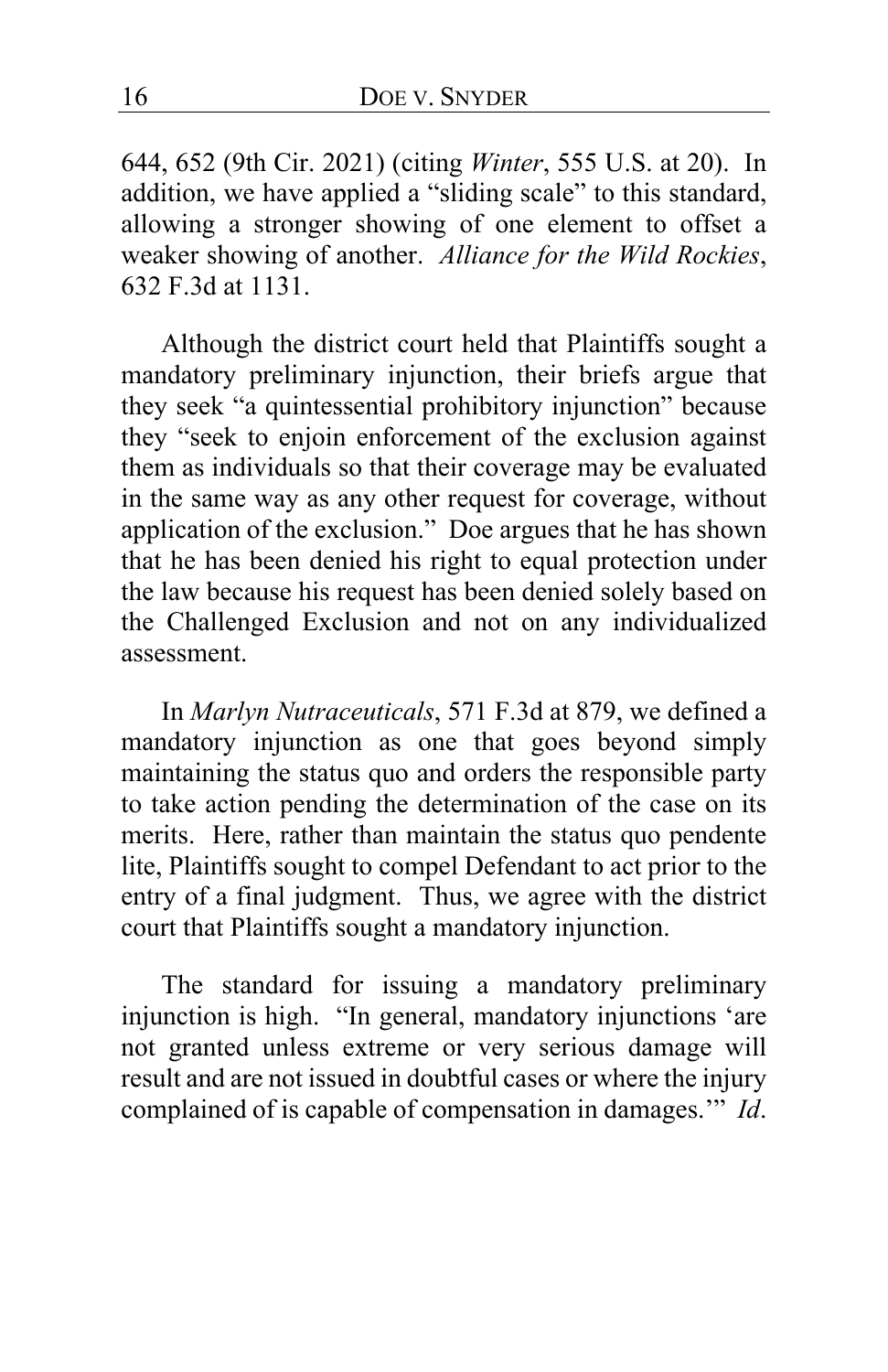644, 652 (9th Cir. 2021) (citing *Winter*, 555 U.S. at 20). In addition, we have applied a "sliding scale" to this standard, allowing a stronger showing of one element to offset a weaker showing of another. *Alliance for the Wild Rockies*, 632 F.3d at 1131.

Although the district court held that Plaintiffs sought a mandatory preliminary injunction, their briefs argue that they seek "a quintessential prohibitory injunction" because they "seek to enjoin enforcement of the exclusion against them as individuals so that their coverage may be evaluated in the same way as any other request for coverage, without application of the exclusion." Doe argues that he has shown that he has been denied his right to equal protection under the law because his request has been denied solely based on the Challenged Exclusion and not on any individualized assessment.

In *Marlyn Nutraceuticals*, 571 F.3d at 879, we defined a mandatory injunction as one that goes beyond simply maintaining the status quo and orders the responsible party to take action pending the determination of the case on its merits. Here, rather than maintain the status quo pendente lite, Plaintiffs sought to compel Defendant to act prior to the entry of a final judgment. Thus, we agree with the district court that Plaintiffs sought a mandatory injunction.

The standard for issuing a mandatory preliminary injunction is high. "In general, mandatory injunctions 'are not granted unless extreme or very serious damage will result and are not issued in doubtful cases or where the injury complained of is capable of compensation in damages.'" *Id*.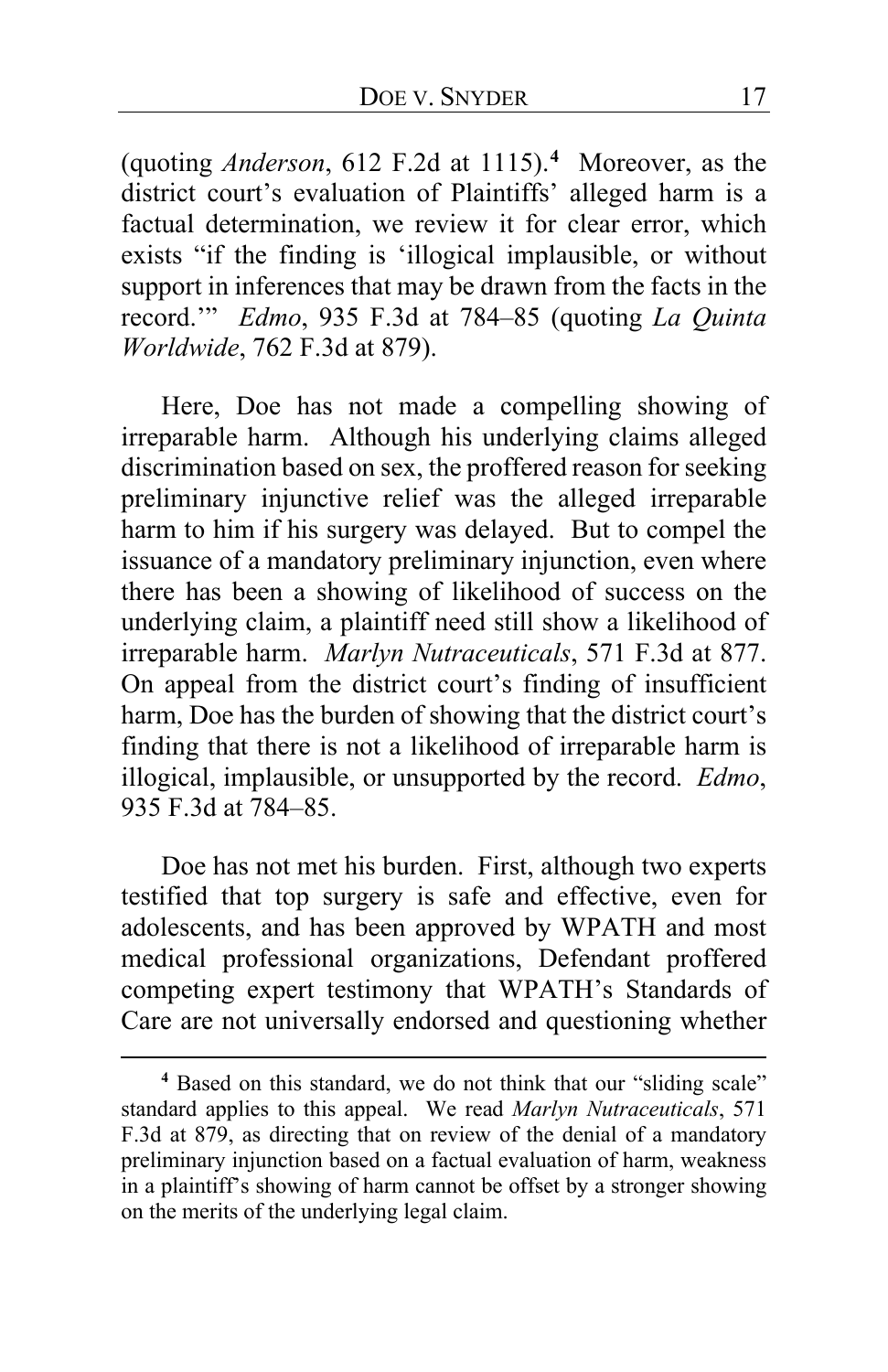(quoting *Anderson*, 612 F.2d at 1115).**[4](#page-16-0)** Moreover, as the district court's evaluation of Plaintiffs' alleged harm is a factual determination, we review it for clear error, which exists "if the finding is 'illogical implausible, or without support in inferences that may be drawn from the facts in the record.'" *Edmo*, 935 F.3d at 784–85 (quoting *La Quinta Worldwide*, 762 F.3d at 879).

Here, Doe has not made a compelling showing of irreparable harm. Although his underlying claims alleged discrimination based on sex, the proffered reason for seeking preliminary injunctive relief was the alleged irreparable harm to him if his surgery was delayed. But to compel the issuance of a mandatory preliminary injunction, even where there has been a showing of likelihood of success on the underlying claim, a plaintiff need still show a likelihood of irreparable harm. *Marlyn Nutraceuticals*, 571 F.3d at 877. On appeal from the district court's finding of insufficient harm, Doe has the burden of showing that the district court's finding that there is not a likelihood of irreparable harm is illogical, implausible, or unsupported by the record. *Edmo*, 935 F.3d at 784–85.

Doe has not met his burden. First, although two experts testified that top surgery is safe and effective, even for adolescents, and has been approved by WPATH and most medical professional organizations, Defendant proffered competing expert testimony that WPATH's Standards of Care are not universally endorsed and questioning whether

<span id="page-16-0"></span>**<sup>4</sup>** Based on this standard, we do not think that our "sliding scale" standard applies to this appeal. We read *Marlyn Nutraceuticals*, 571 F.3d at 879, as directing that on review of the denial of a mandatory preliminary injunction based on a factual evaluation of harm, weakness in a plaintiff's showing of harm cannot be offset by a stronger showing on the merits of the underlying legal claim.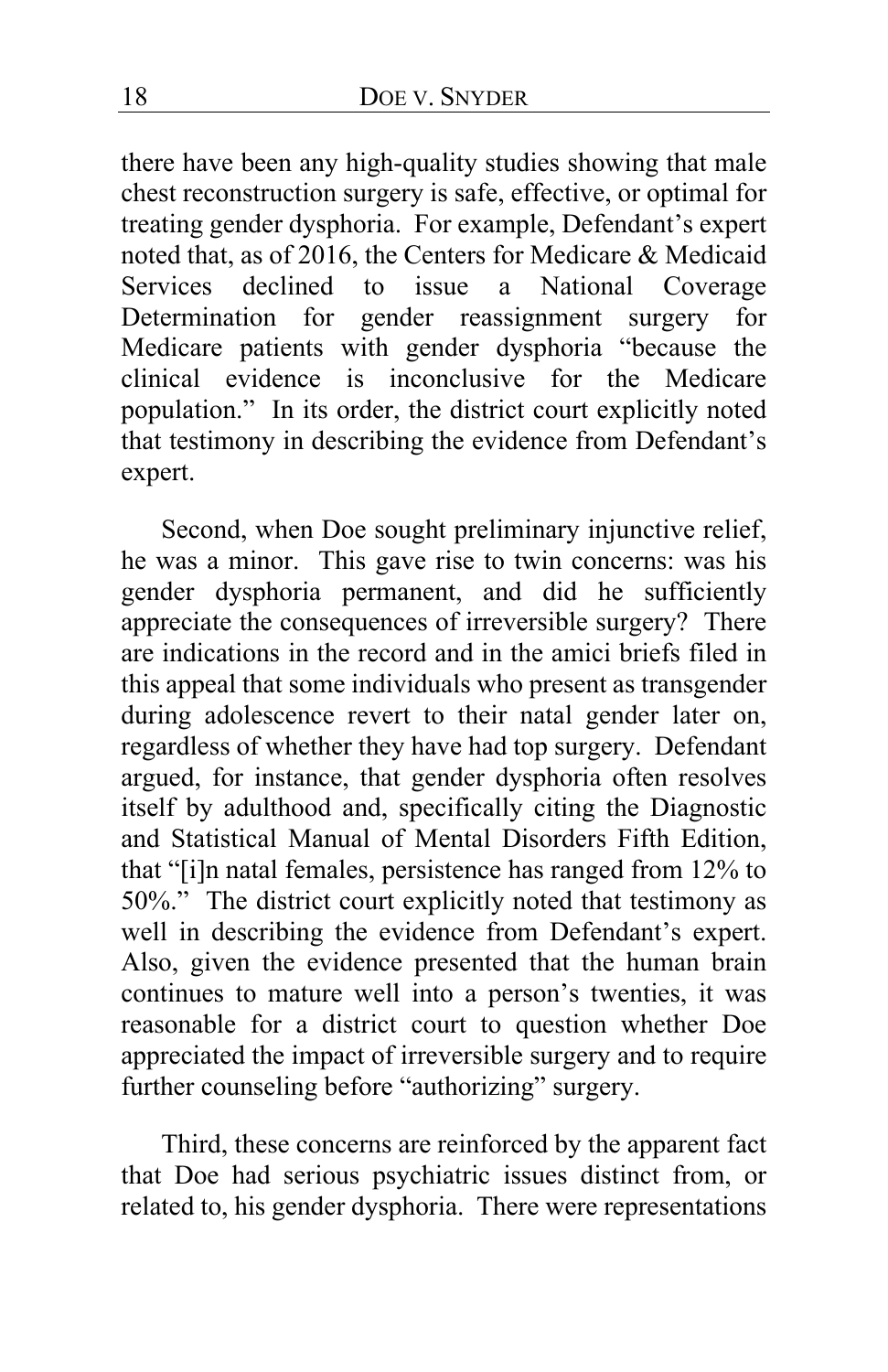there have been any high-quality studies showing that male chest reconstruction surgery is safe, effective, or optimal for treating gender dysphoria. For example, Defendant's expert noted that, as of 2016, the Centers for Medicare & Medicaid Services declined to issue a National Coverage Determination for gender reassignment surgery for Medicare patients with gender dysphoria "because the clinical evidence is inconclusive for the Medicare population." In its order, the district court explicitly noted that testimony in describing the evidence from Defendant's expert.

Second, when Doe sought preliminary injunctive relief, he was a minor. This gave rise to twin concerns: was his gender dysphoria permanent, and did he sufficiently appreciate the consequences of irreversible surgery? There are indications in the record and in the amici briefs filed in this appeal that some individuals who present as transgender during adolescence revert to their natal gender later on, regardless of whether they have had top surgery. Defendant argued, for instance, that gender dysphoria often resolves itself by adulthood and, specifically citing the Diagnostic and Statistical Manual of Mental Disorders Fifth Edition, that "[i]n natal females, persistence has ranged from 12% to 50%." The district court explicitly noted that testimony as well in describing the evidence from Defendant's expert. Also, given the evidence presented that the human brain continues to mature well into a person's twenties, it was reasonable for a district court to question whether Doe appreciated the impact of irreversible surgery and to require further counseling before "authorizing" surgery.

Third, these concerns are reinforced by the apparent fact that Doe had serious psychiatric issues distinct from, or related to, his gender dysphoria. There were representations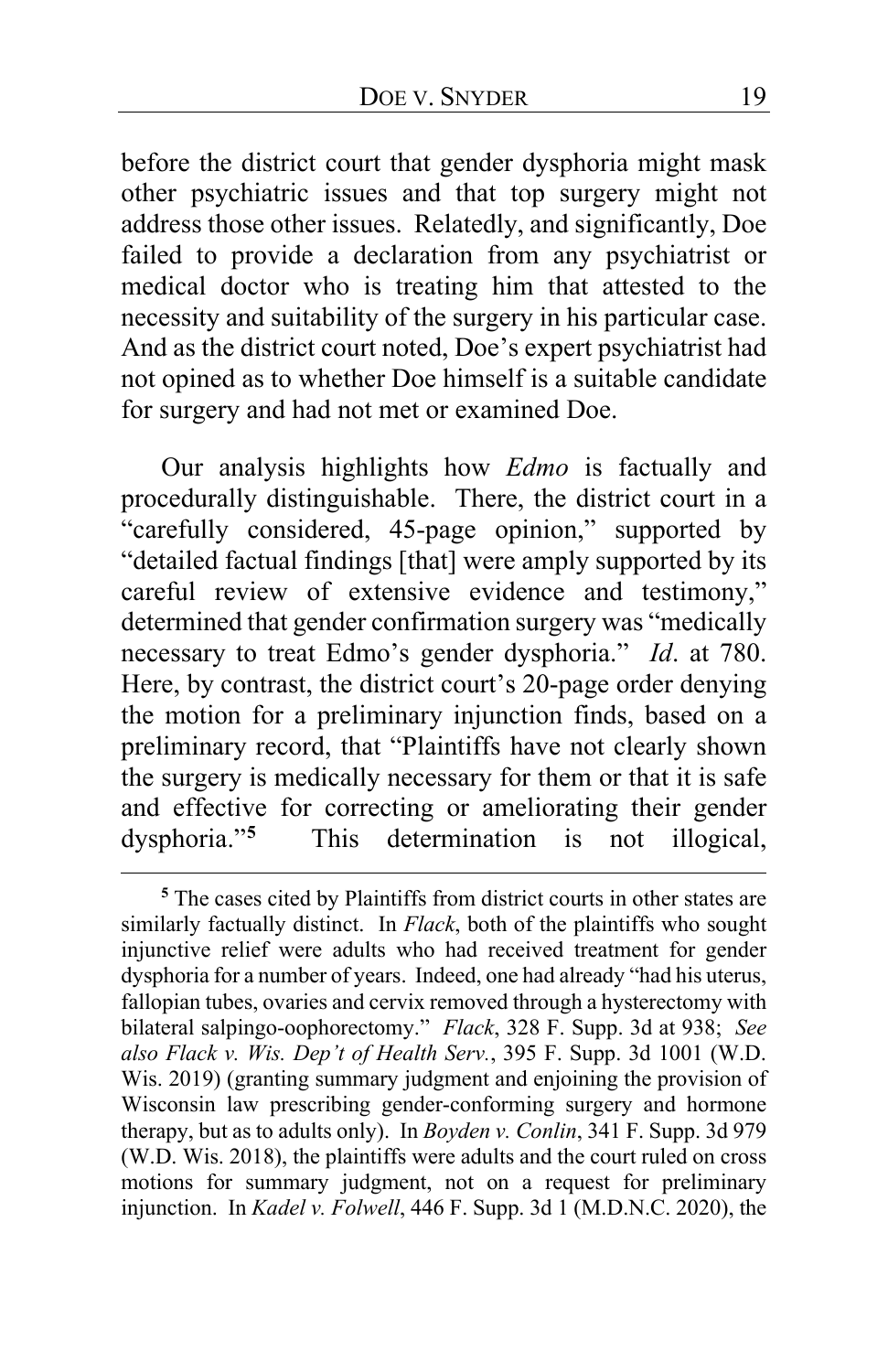before the district court that gender dysphoria might mask other psychiatric issues and that top surgery might not address those other issues. Relatedly, and significantly, Doe failed to provide a declaration from any psychiatrist or medical doctor who is treating him that attested to the necessity and suitability of the surgery in his particular case. And as the district court noted, Doe's expert psychiatrist had not opined as to whether Doe himself is a suitable candidate for surgery and had not met or examined Doe.

Our analysis highlights how *Edmo* is factually and procedurally distinguishable. There, the district court in a "carefully considered, 45-page opinion," supported by "detailed factual findings [that] were amply supported by its careful review of extensive evidence and testimony," determined that gender confirmation surgery was "medically necessary to treat Edmo's gender dysphoria." *Id*. at 780. Here, by contrast, the district court's 20-page order denying the motion for a preliminary injunction finds, based on a preliminary record, that "Plaintiffs have not clearly shown the surgery is medically necessary for them or that it is safe and effective for correcting or ameliorating their gender dysphoria."<sup>5</sup> This determination is not illogical, This determination is not illogical,

<span id="page-18-0"></span>**<sup>5</sup>** The cases cited by Plaintiffs from district courts in other states are similarly factually distinct. In *Flack*, both of the plaintiffs who sought injunctive relief were adults who had received treatment for gender dysphoria for a number of years. Indeed, one had already "had his uterus, fallopian tubes, ovaries and cervix removed through a hysterectomy with bilateral salpingo-oophorectomy." *Flack*, 328 F. Supp. 3d at 938; *See also Flack v. Wis. Dep't of Health Serv.*, 395 F. Supp. 3d 1001 (W.D. Wis. 2019) (granting summary judgment and enjoining the provision of Wisconsin law prescribing gender-conforming surgery and hormone therapy, but as to adults only). In *Boyden v. Conlin*, 341 F. Supp. 3d 979 (W.D. Wis. 2018), the plaintiffs were adults and the court ruled on cross motions for summary judgment, not on a request for preliminary injunction. In *Kadel v. Folwell*, 446 F. Supp. 3d 1 (M.D.N.C. 2020), the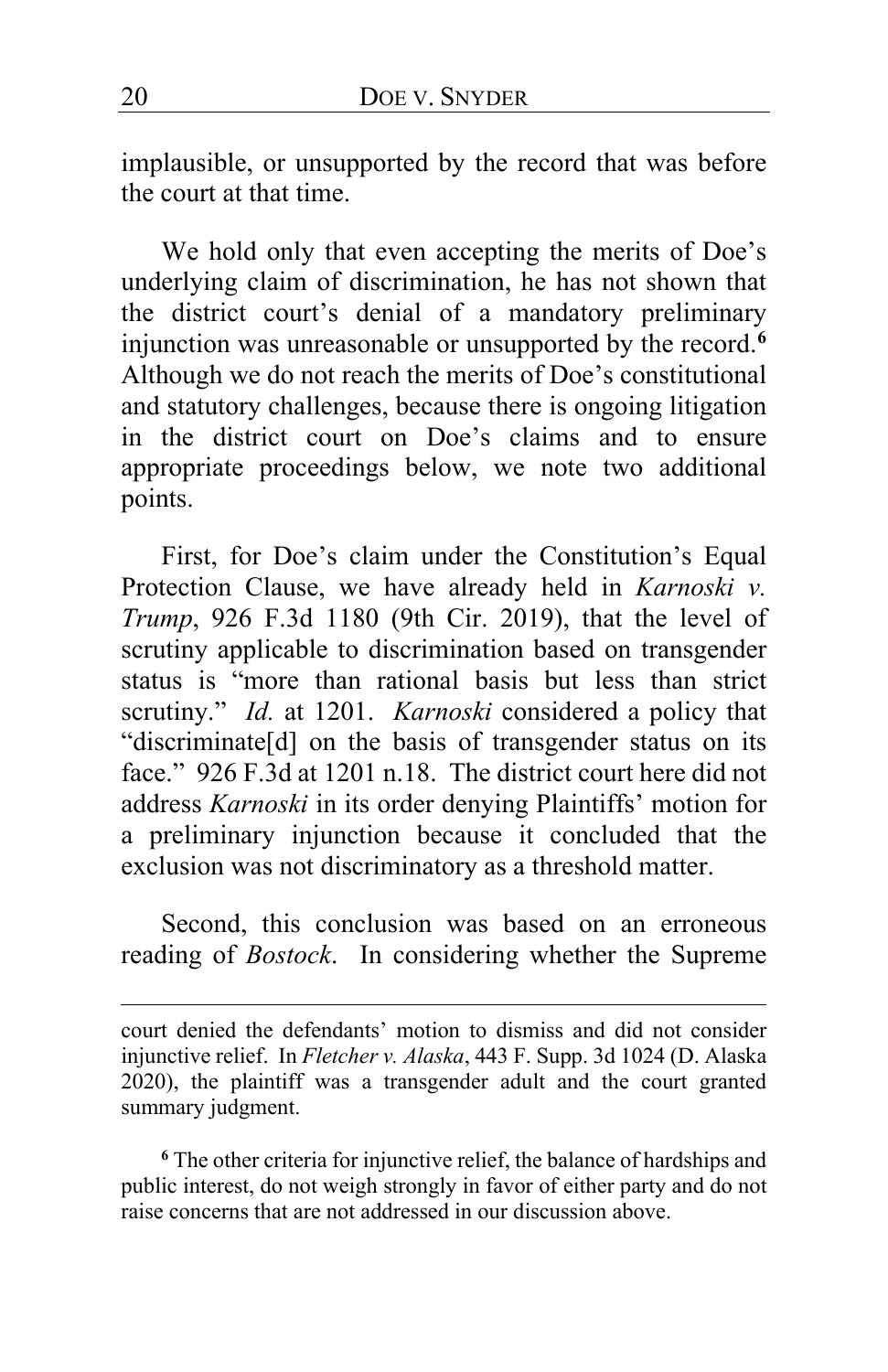implausible, or unsupported by the record that was before the court at that time.

We hold only that even accepting the merits of Doe's underlying claim of discrimination, he has not shown that the district court's denial of a mandatory preliminary injunction was unreasonable or unsupported by the record.**[6](#page-19-0)** Although we do not reach the merits of Doe's constitutional and statutory challenges, because there is ongoing litigation in the district court on Doe's claims and to ensure appropriate proceedings below, we note two additional points.

First, for Doe's claim under the Constitution's Equal Protection Clause, we have already held in *Karnoski v. Trump*, 926 F.3d 1180 (9th Cir. 2019), that the level of scrutiny applicable to discrimination based on transgender status is "more than rational basis but less than strict scrutiny." *Id.* at 1201. *Karnoski* considered a policy that "discriminate[d] on the basis of transgender status on its face." 926 F.3d at 1201 n.18. The district court here did not address *Karnoski* in its order denying Plaintiffs' motion for a preliminary injunction because it concluded that the exclusion was not discriminatory as a threshold matter.

Second, this conclusion was based on an erroneous reading of *Bostock*. In considering whether the Supreme

<span id="page-19-0"></span>**<sup>6</sup>** The other criteria for injunctive relief, the balance of hardships and public interest, do not weigh strongly in favor of either party and do not raise concerns that are not addressed in our discussion above.

court denied the defendants' motion to dismiss and did not consider injunctive relief. In *Fletcher v. Alaska*, 443 F. Supp. 3d 1024 (D. Alaska 2020), the plaintiff was a transgender adult and the court granted summary judgment.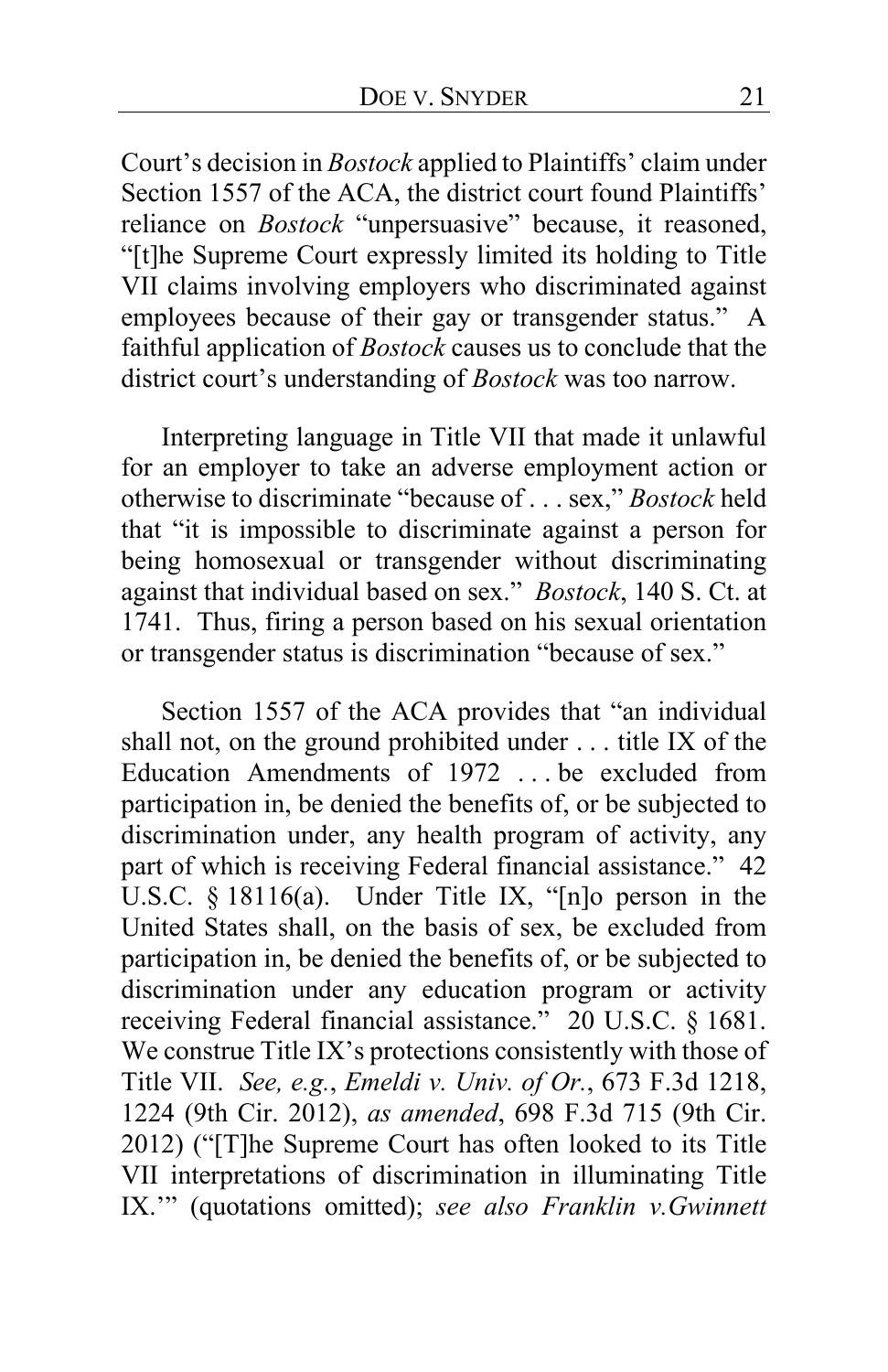Court's decision in *Bostock* applied to Plaintiffs' claim under Section 1557 of the ACA, the district court found Plaintiffs' reliance on *Bostock* "unpersuasive" because, it reasoned, "[t]he Supreme Court expressly limited its holding to Title VII claims involving employers who discriminated against employees because of their gay or transgender status." A faithful application of *Bostock* causes us to conclude that the district court's understanding of *Bostock* was too narrow.

Interpreting language in Title VII that made it unlawful for an employer to take an adverse employment action or otherwise to discriminate "because of . . . sex," *Bostock* held that "it is impossible to discriminate against a person for being homosexual or transgender without discriminating against that individual based on sex." *Bostock*, 140 S. Ct. at 1741. Thus, firing a person based on his sexual orientation or transgender status is discrimination "because of sex."

Section 1557 of the ACA provides that "an individual shall not, on the ground prohibited under . . . title IX of the Education Amendments of 1972 . . . be excluded from participation in, be denied the benefits of, or be subjected to discrimination under, any health program of activity, any part of which is receiving Federal financial assistance." 42 U.S.C. § 18116(a). Under Title IX, "[n]o person in the United States shall, on the basis of sex, be excluded from participation in, be denied the benefits of, or be subjected to discrimination under any education program or activity receiving Federal financial assistance." 20 U.S.C. § 1681. We construe Title IX's protections consistently with those of Title VII. *See, e.g.*, *Emeldi v. Univ. of Or.*, 673 F.3d 1218, 1224 (9th Cir. 2012), *as amended*, 698 F.3d 715 (9th Cir. 2012) ("[T]he Supreme Court has often looked to its Title VII interpretations of discrimination in illuminating Title IX.'" (quotations omitted); *see also Franklin v.Gwinnett*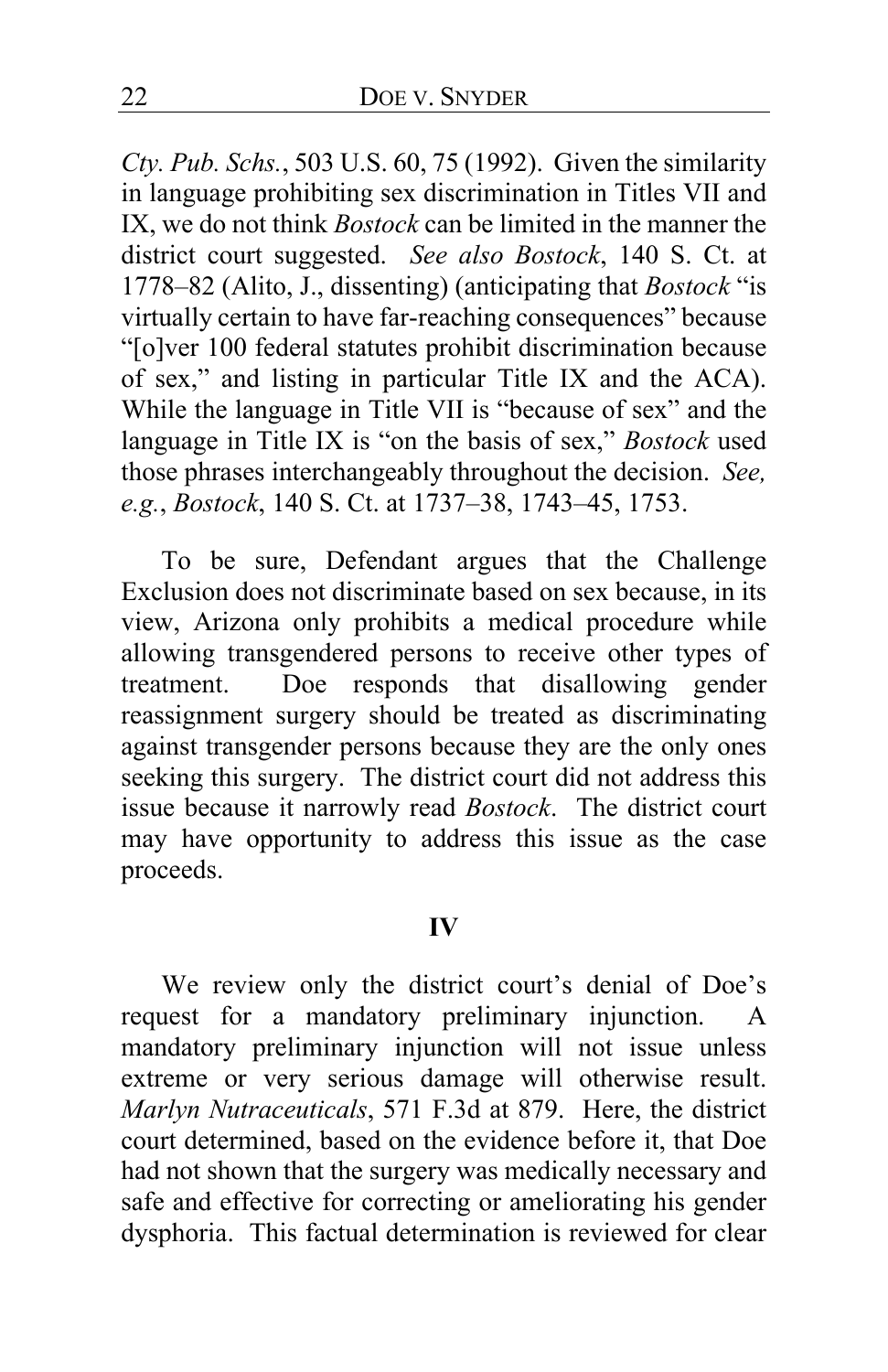*Cty. Pub. Schs.*, 503 U.S. 60, 75 (1992). Given the similarity in language prohibiting sex discrimination in Titles VII and IX, we do not think *Bostock* can be limited in the manner the district court suggested. *See also Bostock*, 140 S. Ct. at 1778–82 (Alito, J., dissenting) (anticipating that *Bostock* "is virtually certain to have far-reaching consequences" because "[o]ver 100 federal statutes prohibit discrimination because of sex," and listing in particular Title IX and the ACA). While the language in Title VII is "because of sex" and the language in Title IX is "on the basis of sex," *Bostock* used those phrases interchangeably throughout the decision. *See, e.g.*, *Bostock*, 140 S. Ct. at 1737–38, 1743–45, 1753.

To be sure, Defendant argues that the Challenge Exclusion does not discriminate based on sex because, in its view, Arizona only prohibits a medical procedure while allowing transgendered persons to receive other types of treatment. Doe responds that disallowing gender reassignment surgery should be treated as discriminating against transgender persons because they are the only ones seeking this surgery. The district court did not address this issue because it narrowly read *Bostock*. The district court may have opportunity to address this issue as the case proceeds.

#### **IV**

We review only the district court's denial of Doe's request for a mandatory preliminary injunction. A mandatory preliminary injunction will not issue unless extreme or very serious damage will otherwise result. *Marlyn Nutraceuticals*, 571 F.3d at 879. Here, the district court determined, based on the evidence before it, that Doe had not shown that the surgery was medically necessary and safe and effective for correcting or ameliorating his gender dysphoria. This factual determination is reviewed for clear